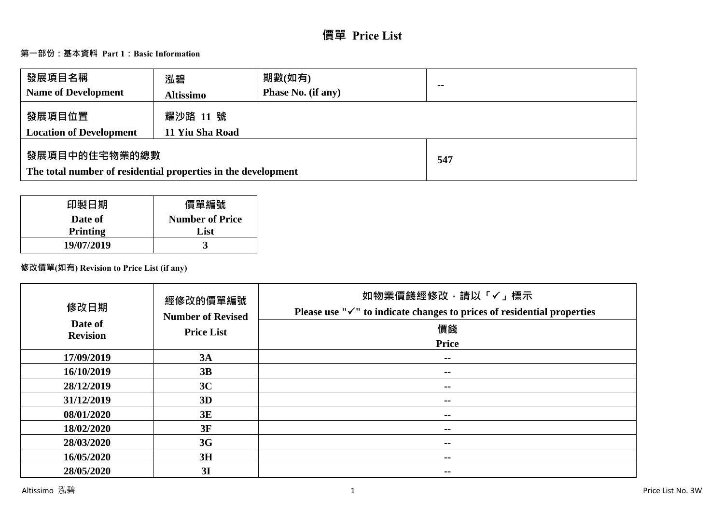# **價單 Price List**

# **第一部份:基本資料 Part 1:Basic Information**

| 發展項目名稱<br><b>Name of Development</b>                                           | 泓碧<br><b>Altissimo</b>      | 期數(如有)<br><b>Phase No. (if any)</b> | $\sim$ |
|--------------------------------------------------------------------------------|-----------------------------|-------------------------------------|--------|
| 發展項目位置<br><b>Location of Development</b>                                       | 耀沙路 11 號<br>11 Yiu Sha Road |                                     |        |
| 發展項目中的住宅物業的總數<br>The total number of residential properties in the development |                             | 547                                 |        |

| 印製日期            | 價單編號                   |
|-----------------|------------------------|
| Date of         | <b>Number of Price</b> |
| <b>Printing</b> | List                   |
| 19/07/2019      |                        |

## **修改價單(如有) Revision to Price List (if any)**

| 修改日期<br>Date of | 經修改的價單編號<br><b>Number of Revised</b> | 如物業價錢經修改,請以「√」標示<br>Please use " $\checkmark$ " to indicate changes to prices of residential properties<br>價錢 |
|-----------------|--------------------------------------|---------------------------------------------------------------------------------------------------------------|
| <b>Revision</b> | <b>Price List</b>                    | <b>Price</b>                                                                                                  |
|                 |                                      |                                                                                                               |
| 17/09/2019      | 3A                                   | --                                                                                                            |
| 16/10/2019      | 3B                                   | $- -$                                                                                                         |
| 28/12/2019      | 3C                                   | --                                                                                                            |
| 31/12/2019      | 3D                                   | --                                                                                                            |
| 08/01/2020      | 3E                                   | --                                                                                                            |
| 18/02/2020      | 3F                                   | --                                                                                                            |
| 28/03/2020      | 3G                                   | --                                                                                                            |
| 16/05/2020      | 3H                                   | --                                                                                                            |
| 28/05/2020      | 3I                                   | --                                                                                                            |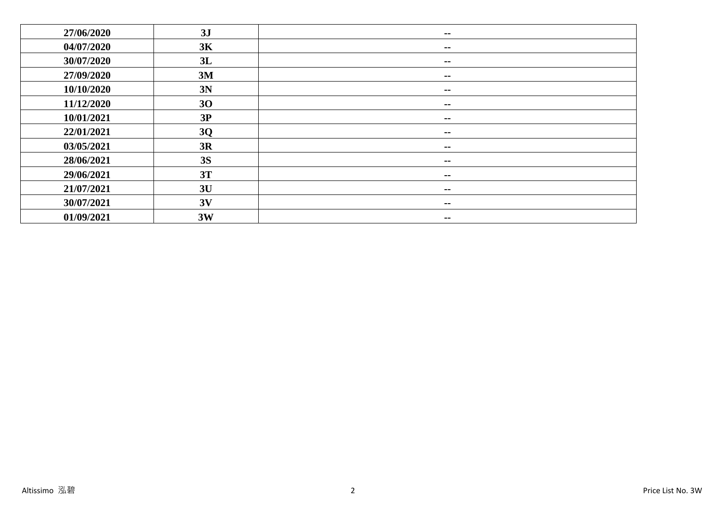| 27/06/2020 | 3J        | $\sim$ $\sim$            |
|------------|-----------|--------------------------|
| 04/07/2020 | 3K        | $\sim$ $\sim$            |
| 30/07/2020 | 3L        | $\sim$ $\sim$            |
| 27/09/2020 | 3M        | $\sim$ $-$               |
| 10/10/2020 | 3N        | $\sim$ $-$               |
| 11/12/2020 | 30        | $\overline{\phantom{m}}$ |
| 10/01/2021 | 3P        | $- -$                    |
| 22/01/2021 | 3Q        | $\sim$ $-$               |
| 03/05/2021 | 3R        | $\sim$ $-$               |
| 28/06/2021 | <b>3S</b> | $\sim$ $\sim$            |
| 29/06/2021 | 3T        | $\sim$ $-$               |
| 21/07/2021 | 3U        | $\sim$ $-$               |
| 30/07/2021 | 3V        | $\sim$ $\sim$            |
| 01/09/2021 | 3W        | $\overline{\phantom{a}}$ |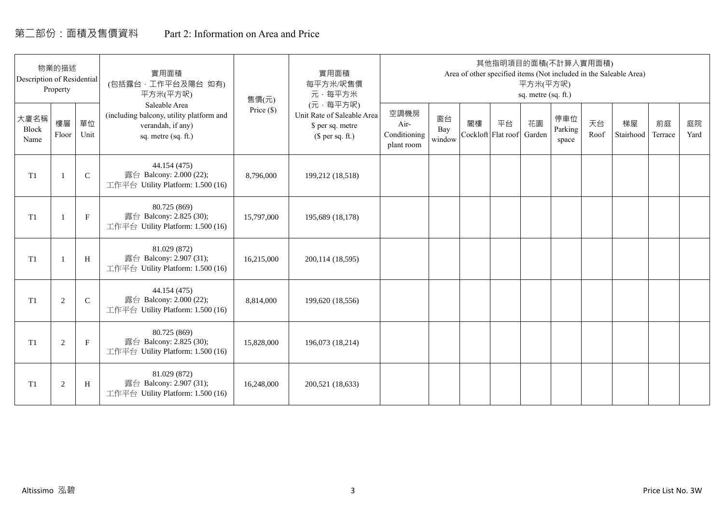# 第二部份:面積及售價資料 Part 2: Information on Area and Price

| Description of Residential | 物業的描述<br>Property |             | 實用面積<br>(包括露台·工作平台及陽台 如有)<br>平方米(平方呎)                                                                 | 售價(元)        | 實用面積<br>每平方米/呎售價<br>元·每平方米                                                     |                                            |                     |    | 其他指明項目的面積(不計算入實用面積)      | 平方米(平方呎)<br>sq. metre (sq. ft.) |                         |            | Area of other specified items (Not included in the Saleable Area) |               |            |
|----------------------------|-------------------|-------------|-------------------------------------------------------------------------------------------------------|--------------|--------------------------------------------------------------------------------|--------------------------------------------|---------------------|----|--------------------------|---------------------------------|-------------------------|------------|-------------------------------------------------------------------|---------------|------------|
| 大廈名稱<br>Block<br>Name      | 樓層<br>Floor       | 單位<br>Unit  | Saleable Area<br>(including balcony, utility platform and<br>verandah, if any)<br>sq. metre (sq. ft.) | Price $(\$)$ | (元·每平方呎)<br>Unit Rate of Saleable Area<br>\$ per sq. metre<br>$$$ per sq. ft.) | 空調機房<br>Air-<br>Conditioning<br>plant room | 窗台<br>Bay<br>window | 閣樓 | 平台<br>Cockloft Flat roof | 花園<br>Garden                    | 停車位<br>Parking<br>space | 天台<br>Roof | 梯屋<br>Stairhood                                                   | 前庭<br>Terrace | 庭院<br>Yard |
| T <sub>1</sub>             |                   | $\mathsf C$ | 44.154 (475)<br>露台 Balcony: 2.000 (22);<br>工作平台 Utility Platform: 1.500 (16)                          | 8,796,000    | 199,212 (18,518)                                                               |                                            |                     |    |                          |                                 |                         |            |                                                                   |               |            |
| T <sub>1</sub>             |                   | $\mathbf F$ | 80.725 (869)<br>露台 Balcony: 2.825 (30);<br>工作平台 Utility Platform: 1.500 (16)                          | 15,797,000   | 195,689 (18,178)                                                               |                                            |                     |    |                          |                                 |                         |            |                                                                   |               |            |
| T <sub>1</sub>             |                   | H           | 81.029 (872)<br>露台 Balcony: 2.907 (31);<br>工作平台 Utility Platform: 1.500 (16)                          | 16,215,000   | 200,114 (18,595)                                                               |                                            |                     |    |                          |                                 |                         |            |                                                                   |               |            |
| T1                         | 2                 | $\mathbf C$ | 44.154 (475)<br>露台 Balcony: 2.000 (22);<br>工作平台 Utility Platform: 1.500 (16)                          | 8,814,000    | 199,620 (18,556)                                                               |                                            |                     |    |                          |                                 |                         |            |                                                                   |               |            |
| T1                         | 2                 | $\mathbf F$ | 80.725 (869)<br>露台 Balcony: 2.825 (30);<br>工作平台 Utility Platform: 1.500 (16)                          | 15,828,000   | 196,073 (18,214)                                                               |                                            |                     |    |                          |                                 |                         |            |                                                                   |               |            |
| T1                         | $\overline{2}$    | H           | 81.029 (872)<br>露台 Balcony: 2.907 (31);<br>工作平台 Utility Platform: 1.500 (16)                          | 16,248,000   | 200,521 (18,633)                                                               |                                            |                     |    |                          |                                 |                         |            |                                                                   |               |            |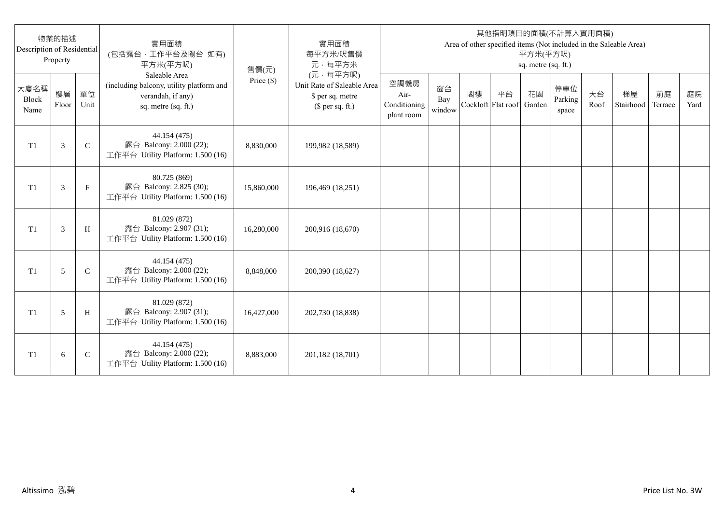| Description of Residential | 物業的描述<br>Property |              | 實用面積<br>(包括露台,工作平台及陽台 如有)<br>平方米(平方呎)                                                                 | 售價(元)      | 實用面積<br>每平方米/呎售價<br>元·每平方米                                                     |                                            |                     |    |                          | 平方米(平方呎)<br>sq. metre (sq. ft.) | 其他指明項目的面積(不計算入實用面積)     |            | Area of other specified items (Not included in the Saleable Area) |               |            |
|----------------------------|-------------------|--------------|-------------------------------------------------------------------------------------------------------|------------|--------------------------------------------------------------------------------|--------------------------------------------|---------------------|----|--------------------------|---------------------------------|-------------------------|------------|-------------------------------------------------------------------|---------------|------------|
| 大廈名稱<br>Block<br>Name      | 樓層<br>Floor       | 單位<br>Unit   | Saleable Area<br>(including balcony, utility platform and<br>verandah, if any)<br>sq. metre (sq. ft.) | Price (\$) | (元·每平方呎)<br>Unit Rate of Saleable Area<br>\$ per sq. metre<br>$$$ per sq. ft.) | 空調機房<br>Air-<br>Conditioning<br>plant room | 窗台<br>Bay<br>window | 閣樓 | 平台<br>Cockloft Flat roof | 花園<br>Garden                    | 停車位<br>Parking<br>space | 天台<br>Roof | 梯屋<br>Stairhood                                                   | 前庭<br>Terrace | 庭院<br>Yard |
| T <sub>1</sub>             | 3                 | $\mathsf{C}$ | 44.154 (475)<br>露台 Balcony: 2.000 (22);<br>工作平台 Utility Platform: 1.500 (16)                          | 8,830,000  | 199,982 (18,589)                                                               |                                            |                     |    |                          |                                 |                         |            |                                                                   |               |            |
| T <sub>1</sub>             | 3                 | $_{\rm F}$   | 80.725 (869)<br>露台 Balcony: 2.825 (30);<br>工作平台 Utility Platform: 1.500 (16)                          | 15,860,000 | 196,469 (18,251)                                                               |                                            |                     |    |                          |                                 |                         |            |                                                                   |               |            |
| T1                         | 3                 | H            | 81.029 (872)<br>露台 Balcony: 2.907 (31);<br>工作平台 Utility Platform: 1.500 (16)                          | 16,280,000 | 200,916 (18,670)                                                               |                                            |                     |    |                          |                                 |                         |            |                                                                   |               |            |
| T1                         | 5                 | $\mathsf{C}$ | 44.154 (475)<br>露台 Balcony: 2.000 (22);<br>工作平台 Utility Platform: 1.500 (16)                          | 8,848,000  | 200,390 (18,627)                                                               |                                            |                     |    |                          |                                 |                         |            |                                                                   |               |            |
| T1                         | 5                 | H            | 81.029 (872)<br>露台 Balcony: 2.907 (31);<br>工作平台 Utility Platform: 1.500 (16)                          | 16,427,000 | 202,730 (18,838)                                                               |                                            |                     |    |                          |                                 |                         |            |                                                                   |               |            |
| T <sub>1</sub>             | 6                 | $\mathsf{C}$ | 44.154 (475)<br>露台 Balcony: 2.000 (22);<br>工作平台 Utility Platform: 1.500 (16)                          | 8,883,000  | 201,182 (18,701)                                                               |                                            |                     |    |                          |                                 |                         |            |                                                                   |               |            |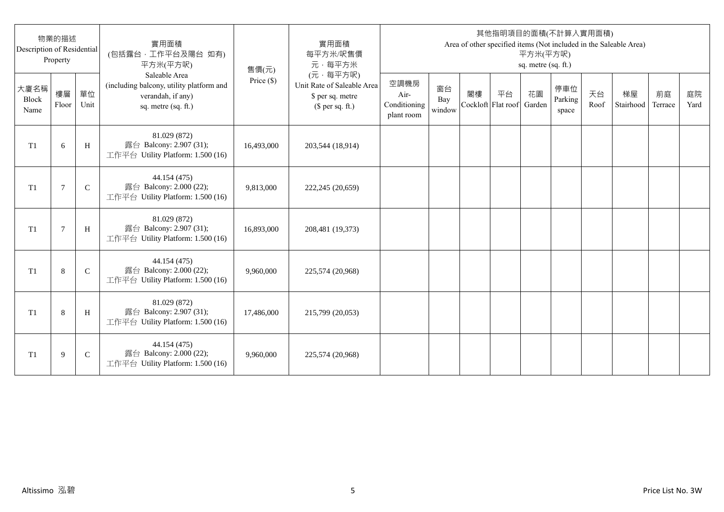| Description of Residential | 物業的描述<br>Property |              | 實用面積<br>(包括露台,工作平台及陽台 如有)<br>平方米(平方呎)                                                                 | 售價(元)      | 實用面積<br>每平方米/呎售價<br>元·每平方米                                                     |                                            |                     |                          |    | 平方米(平方呎)<br>sq. metre (sq. ft.) | 其他指明項目的面積(不計算入實用面積)     |            | Area of other specified items (Not included in the Saleable Area) |               |            |
|----------------------------|-------------------|--------------|-------------------------------------------------------------------------------------------------------|------------|--------------------------------------------------------------------------------|--------------------------------------------|---------------------|--------------------------|----|---------------------------------|-------------------------|------------|-------------------------------------------------------------------|---------------|------------|
| 大廈名稱<br>Block<br>Name      | 樓層<br>Floor       | 單位<br>Unit   | Saleable Area<br>(including balcony, utility platform and<br>verandah, if any)<br>sq. metre (sq. ft.) | Price (\$) | (元·每平方呎)<br>Unit Rate of Saleable Area<br>\$ per sq. metre<br>$$$ per sq. ft.) | 空調機房<br>Air-<br>Conditioning<br>plant room | 窗台<br>Bay<br>window | 閣樓<br>Cockloft Flat roof | 平台 | 花園<br>Garden                    | 停車位<br>Parking<br>space | 天台<br>Roof | 梯屋<br>Stairhood                                                   | 前庭<br>Terrace | 庭院<br>Yard |
| T <sub>1</sub>             | 6                 | H            | 81.029 (872)<br>露台 Balcony: 2.907 (31);<br>工作平台 Utility Platform: 1.500 (16)                          | 16,493,000 | 203,544 (18,914)                                                               |                                            |                     |                          |    |                                 |                         |            |                                                                   |               |            |
| T <sub>1</sub>             | 7                 | $\mathsf{C}$ | 44.154 (475)<br>露台 Balcony: 2.000 (22);<br>工作平台 Utility Platform: 1.500 (16)                          | 9,813,000  | 222,245 (20,659)                                                               |                                            |                     |                          |    |                                 |                         |            |                                                                   |               |            |
| T1                         | $\overline{7}$    | H            | 81.029 (872)<br>露台 Balcony: 2.907 (31);<br>工作平台 Utility Platform: 1.500 (16)                          | 16,893,000 | 208,481 (19,373)                                                               |                                            |                     |                          |    |                                 |                         |            |                                                                   |               |            |
| T1                         | 8                 | $\mathsf{C}$ | 44.154 (475)<br>露台 Balcony: 2.000 (22);<br>工作平台 Utility Platform: 1.500 (16)                          | 9,960,000  | 225,574 (20,968)                                                               |                                            |                     |                          |    |                                 |                         |            |                                                                   |               |            |
| T1                         | 8                 | H            | 81.029 (872)<br>露台 Balcony: 2.907 (31);<br>工作平台 Utility Platform: 1.500 (16)                          | 17,486,000 | 215,799 (20,053)                                                               |                                            |                     |                          |    |                                 |                         |            |                                                                   |               |            |
| T <sub>1</sub>             | 9                 | $\mathsf{C}$ | 44.154 (475)<br>露台 Balcony: 2.000 (22);<br>工作平台 Utility Platform: 1.500 (16)                          | 9,960,000  | 225,574 (20,968)                                                               |                                            |                     |                          |    |                                 |                         |            |                                                                   |               |            |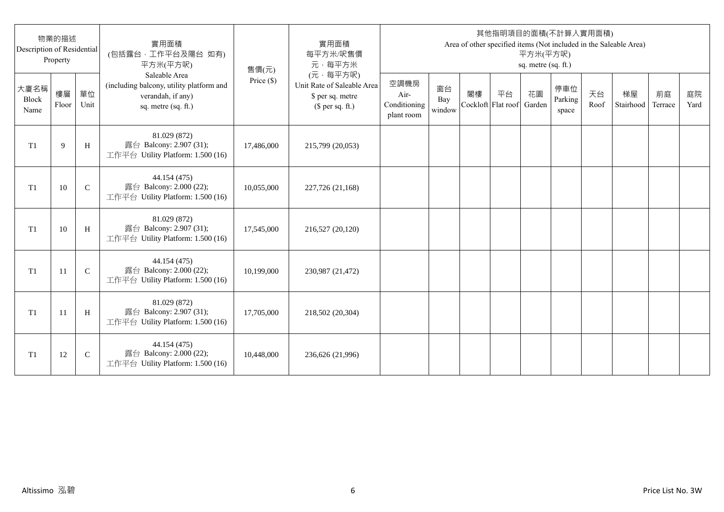| Description of Residential | 物業的描述<br>Property |              | 實用面積<br>(包括露台,工作平台及陽台 如有)<br>平方米(平方呎)                                                                 | 售價(元)      | 實用面積<br>每平方米/呎售價<br>元·每平方米                                                     |                                            |                     |                          |    | 平方米(平方呎)<br>sq. metre (sq. ft.) | 其他指明項目的面積(不計算入實用面積)     |            | Area of other specified items (Not included in the Saleable Area) |               |            |
|----------------------------|-------------------|--------------|-------------------------------------------------------------------------------------------------------|------------|--------------------------------------------------------------------------------|--------------------------------------------|---------------------|--------------------------|----|---------------------------------|-------------------------|------------|-------------------------------------------------------------------|---------------|------------|
| 大廈名稱<br>Block<br>Name      | 樓層<br>Floor       | 單位<br>Unit   | Saleable Area<br>(including balcony, utility platform and<br>verandah, if any)<br>sq. metre (sq. ft.) | Price (\$) | (元·每平方呎)<br>Unit Rate of Saleable Area<br>\$ per sq. metre<br>$$$ per sq. ft.) | 空調機房<br>Air-<br>Conditioning<br>plant room | 窗台<br>Bay<br>window | 閣樓<br>Cockloft Flat roof | 平台 | 花園<br>Garden                    | 停車位<br>Parking<br>space | 天台<br>Roof | 梯屋<br>Stairhood                                                   | 前庭<br>Terrace | 庭院<br>Yard |
| T <sub>1</sub>             | 9                 | H            | 81.029 (872)<br>露台 Balcony: 2.907 (31);<br>工作平台 Utility Platform: 1.500 (16)                          | 17,486,000 | 215,799 (20,053)                                                               |                                            |                     |                          |    |                                 |                         |            |                                                                   |               |            |
| T1                         | 10                | $\mathsf{C}$ | 44.154 (475)<br>露台 Balcony: 2.000 (22);<br>工作平台 Utility Platform: 1.500 (16)                          | 10,055,000 | 227,726 (21,168)                                                               |                                            |                     |                          |    |                                 |                         |            |                                                                   |               |            |
| T1                         | 10                | H            | 81.029 (872)<br>露台 Balcony: 2.907 (31);<br>工作平台 Utility Platform: 1.500 (16)                          | 17,545,000 | 216,527 (20,120)                                                               |                                            |                     |                          |    |                                 |                         |            |                                                                   |               |            |
| T1                         | 11                | $\mathbf C$  | 44.154 (475)<br>露台 Balcony: 2.000 (22);<br>工作平台 Utility Platform: 1.500 (16)                          | 10,199,000 | 230,987 (21,472)                                                               |                                            |                     |                          |    |                                 |                         |            |                                                                   |               |            |
| T1                         | -11               | H            | 81.029 (872)<br>露台 Balcony: 2.907 (31);<br>工作平台 Utility Platform: 1.500 (16)                          | 17,705,000 | 218,502 (20,304)                                                               |                                            |                     |                          |    |                                 |                         |            |                                                                   |               |            |
| T <sub>1</sub>             | 12                | $\mathsf{C}$ | 44.154 (475)<br>露台 Balcony: 2.000 (22);<br>工作平台 Utility Platform: 1.500 (16)                          | 10,448,000 | 236,626 (21,996)                                                               |                                            |                     |                          |    |                                 |                         |            |                                                                   |               |            |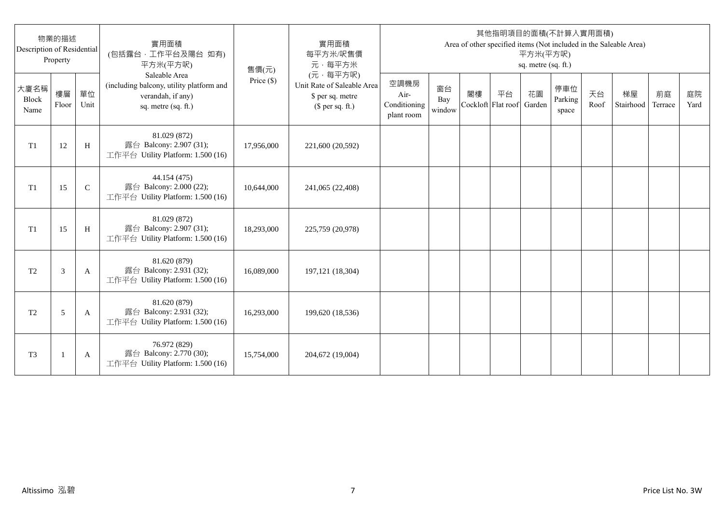| Description of Residential | 物業的描述<br>Property |              | 實用面積<br>(包括露台,工作平台及陽台 如有)<br>平方米(平方呎)                                                                 | 售價(元)      | 實用面積<br>每平方米/呎售價<br>元·每平方米                                                     |                                            |                     |    |                          | 平方米(平方呎)<br>sq. metre (sq. ft.) | 其他指明項目的面積(不計算入實用面積)     |            | Area of other specified items (Not included in the Saleable Area) |               |            |
|----------------------------|-------------------|--------------|-------------------------------------------------------------------------------------------------------|------------|--------------------------------------------------------------------------------|--------------------------------------------|---------------------|----|--------------------------|---------------------------------|-------------------------|------------|-------------------------------------------------------------------|---------------|------------|
| 大廈名稱<br>Block<br>Name      | 樓層<br>Floor       | 單位<br>Unit   | Saleable Area<br>(including balcony, utility platform and<br>verandah, if any)<br>sq. metre (sq. ft.) | Price (\$) | (元·每平方呎)<br>Unit Rate of Saleable Area<br>\$ per sq. metre<br>$$$ per sq. ft.) | 空調機房<br>Air-<br>Conditioning<br>plant room | 窗台<br>Bay<br>window | 閣樓 | 平台<br>Cockloft Flat roof | 花園<br>Garden                    | 停車位<br>Parking<br>space | 天台<br>Roof | 梯屋<br>Stairhood                                                   | 前庭<br>Terrace | 庭院<br>Yard |
| T1                         | 12                | H            | 81.029 (872)<br>露台 Balcony: 2.907 (31);<br>工作平台 Utility Platform: 1.500 (16)                          | 17,956,000 | 221,600 (20,592)                                                               |                                            |                     |    |                          |                                 |                         |            |                                                                   |               |            |
| T1                         | 15                | $\mathsf{C}$ | 44.154 (475)<br>露台 Balcony: 2.000 (22);<br>工作平台 Utility Platform: 1.500 (16)                          | 10,644,000 | 241,065 (22,408)                                                               |                                            |                     |    |                          |                                 |                         |            |                                                                   |               |            |
| T1                         | 15                | H            | 81.029 (872)<br>露台 Balcony: 2.907 (31);<br>工作平台 Utility Platform: 1.500 (16)                          | 18,293,000 | 225,759 (20,978)                                                               |                                            |                     |    |                          |                                 |                         |            |                                                                   |               |            |
| T <sub>2</sub>             | 3                 | A            | 81.620 (879)<br>露台 Balcony: 2.931 (32);<br>工作平台 Utility Platform: 1.500 (16)                          | 16,089,000 | 197, 121 (18, 304)                                                             |                                            |                     |    |                          |                                 |                         |            |                                                                   |               |            |
| T <sub>2</sub>             | 5                 | A            | 81.620 (879)<br>露台 Balcony: 2.931 (32);<br>工作平台 Utility Platform: 1.500 (16)                          | 16,293,000 | 199,620 (18,536)                                                               |                                            |                     |    |                          |                                 |                         |            |                                                                   |               |            |
| T <sub>3</sub>             |                   | A            | 76.972 (829)<br>露台 Balcony: 2.770 (30);<br>工作平台 Utility Platform: 1.500 (16)                          | 15,754,000 | 204,672 (19,004)                                                               |                                            |                     |    |                          |                                 |                         |            |                                                                   |               |            |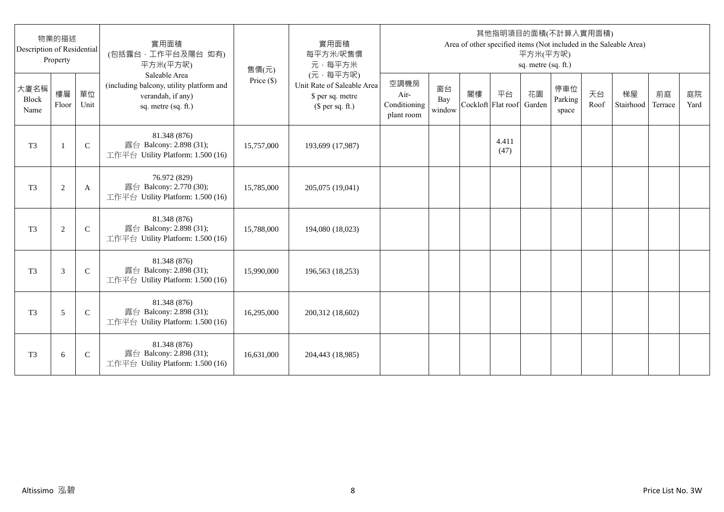| Description of Residential | 物業的描述<br>Property |              | 實用面積<br>(包括露台,工作平台及陽台 如有)<br>平方米(平方呎)                                                                 | 售價(元)      | 實用面積<br>每平方米/呎售價<br>元·每平方米                                                     |                                            |                     |                          |               | 平方米(平方呎)<br>sq. metre (sq. ft.) | 其他指明項目的面積(不計算入實用面積)     |            | Area of other specified items (Not included in the Saleable Area) |               |            |
|----------------------------|-------------------|--------------|-------------------------------------------------------------------------------------------------------|------------|--------------------------------------------------------------------------------|--------------------------------------------|---------------------|--------------------------|---------------|---------------------------------|-------------------------|------------|-------------------------------------------------------------------|---------------|------------|
| 大廈名稱<br>Block<br>Name      | 樓層<br>Floor       | 單位<br>Unit   | Saleable Area<br>(including balcony, utility platform and<br>verandah, if any)<br>sq. metre (sq. ft.) | Price (\$) | (元·每平方呎)<br>Unit Rate of Saleable Area<br>\$ per sq. metre<br>$$$ per sq. ft.) | 空調機房<br>Air-<br>Conditioning<br>plant room | 窗台<br>Bay<br>window | 閣樓<br>Cockloft Flat roof | 平台            | 花園<br>Garden                    | 停車位<br>Parking<br>space | 天台<br>Roof | 梯屋<br>Stairhood                                                   | 前庭<br>Terrace | 庭院<br>Yard |
| T <sub>3</sub>             | $\mathbf{1}$      | $\mathsf{C}$ | 81.348 (876)<br>露台 Balcony: 2.898 (31);<br>工作平台 Utility Platform: 1.500 (16)                          | 15,757,000 | 193,699 (17,987)                                                               |                                            |                     |                          | 4.411<br>(47) |                                 |                         |            |                                                                   |               |            |
| T <sub>3</sub>             | $\overline{c}$    | A            | 76.972 (829)<br>露台 Balcony: 2.770 (30);<br>工作平台 Utility Platform: 1.500 (16)                          | 15,785,000 | 205,075 (19,041)                                                               |                                            |                     |                          |               |                                 |                         |            |                                                                   |               |            |
| T <sub>3</sub>             | $\overline{c}$    | $\mathsf{C}$ | 81.348 (876)<br>露台 Balcony: 2.898 (31);<br>工作平台 Utility Platform: 1.500 (16)                          | 15,788,000 | 194,080 (18,023)                                                               |                                            |                     |                          |               |                                 |                         |            |                                                                   |               |            |
| T <sub>3</sub>             | 3                 | $\mathsf{C}$ | 81.348 (876)<br>露台 Balcony: 2.898 (31);<br>工作平台 Utility Platform: 1.500 (16)                          | 15,990,000 | 196,563 (18,253)                                                               |                                            |                     |                          |               |                                 |                         |            |                                                                   |               |            |
| T <sub>3</sub>             | 5                 | $\mathsf{C}$ | 81.348 (876)<br>露台 Balcony: 2.898 (31);<br>工作平台 Utility Platform: 1.500 (16)                          | 16,295,000 | 200,312 (18,602)                                                               |                                            |                     |                          |               |                                 |                         |            |                                                                   |               |            |
| T <sub>3</sub>             | 6                 | $\mathsf{C}$ | 81.348 (876)<br>露台 Balcony: 2.898 (31);<br>工作平台 Utility Platform: 1.500 (16)                          | 16,631,000 | 204,443 (18,985)                                                               |                                            |                     |                          |               |                                 |                         |            |                                                                   |               |            |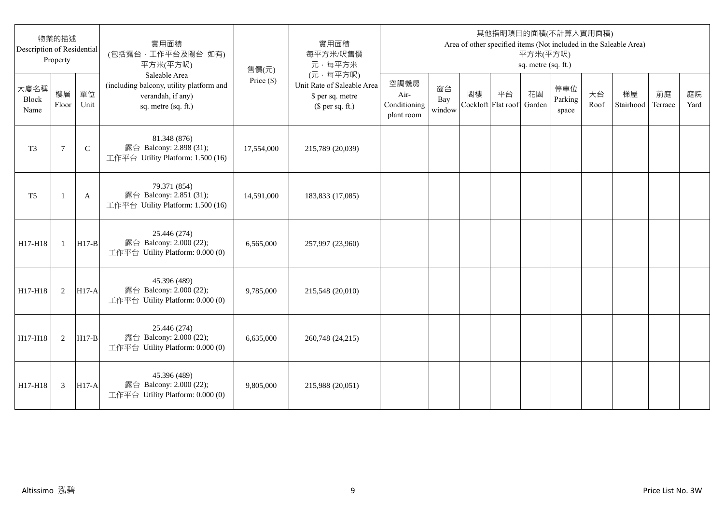| Description of Residential | 物業的描述<br>Property |              | 實用面積<br>(包括露台,工作平台及陽台 如有)<br>平方米(平方呎)                                                                 | 售價(元)        | 實用面積<br>每平方米/呎售價<br>元·每平方米                                                     |                                            |                     |                          |    | 平方米(平方呎)<br>sq. metre (sq. ft.) | 其他指明項目的面積(不計算入實用面積)     |            | Area of other specified items (Not included in the Saleable Area) |               |            |
|----------------------------|-------------------|--------------|-------------------------------------------------------------------------------------------------------|--------------|--------------------------------------------------------------------------------|--------------------------------------------|---------------------|--------------------------|----|---------------------------------|-------------------------|------------|-------------------------------------------------------------------|---------------|------------|
| 大廈名稱<br>Block<br>Name      | 樓層<br>Floor       | 單位<br>Unit   | Saleable Area<br>(including balcony, utility platform and<br>verandah, if any)<br>sq. metre (sq. ft.) | Price $(\$)$ | (元·每平方呎)<br>Unit Rate of Saleable Area<br>\$ per sq. metre<br>$$$ per sq. ft.) | 空調機房<br>Air-<br>Conditioning<br>plant room | 窗台<br>Bay<br>window | 閣樓<br>Cockloft Flat roof | 平台 | 花園<br>Garden                    | 停車位<br>Parking<br>space | 天台<br>Roof | 梯屋<br>Stairhood                                                   | 前庭<br>Terrace | 庭院<br>Yard |
| T <sub>3</sub>             | 7                 | $\mathsf{C}$ | 81.348 (876)<br>露台 Balcony: 2.898 (31);<br>工作平台 Utility Platform: 1.500 (16)                          | 17,554,000   | 215,789 (20,039)                                                               |                                            |                     |                          |    |                                 |                         |            |                                                                   |               |            |
| T <sub>5</sub>             | -1                | A            | 79.371 (854)<br>露台 Balcony: 2.851 (31);<br>工作平台 Utility Platform: 1.500 (16)                          | 14,591,000   | 183,833 (17,085)                                                               |                                            |                     |                          |    |                                 |                         |            |                                                                   |               |            |
| H17-H18                    | $\mathbf{1}$      | $H17-B$      | 25.446 (274)<br>露台 Balcony: 2.000 (22);<br>工作平台 Utility Platform: 0.000 (0)                           | 6,565,000    | 257,997 (23,960)                                                               |                                            |                     |                          |    |                                 |                         |            |                                                                   |               |            |
| H17-H18                    | 2                 | $H17-A$      | 45.396 (489)<br>露台 Balcony: 2.000 (22);<br>工作平台 Utility Platform: 0.000 (0)                           | 9,785,000    | 215,548 (20,010)                                                               |                                            |                     |                          |    |                                 |                         |            |                                                                   |               |            |
| H17-H18                    | 2                 | $H17-B$      | 25.446 (274)<br>露台 Balcony: 2.000 (22);<br>工作平台 Utility Platform: 0.000 (0)                           | 6,635,000    | 260,748 (24,215)                                                               |                                            |                     |                          |    |                                 |                         |            |                                                                   |               |            |
| H17-H18                    | 3                 | $H17-A$      | 45.396 (489)<br>露台 Balcony: 2.000 (22);<br>工作平台 Utility Platform: 0.000 (0)                           | 9,805,000    | 215,988 (20,051)                                                               |                                            |                     |                          |    |                                 |                         |            |                                                                   |               |            |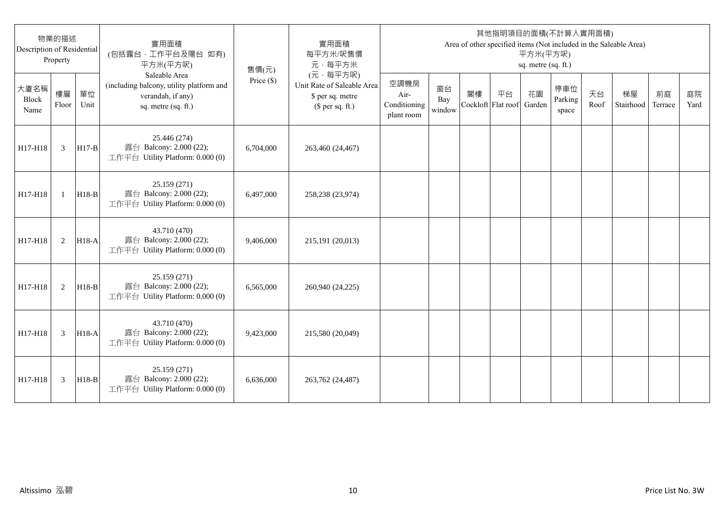| Description of Residential | 物業的描述<br>Property |            | 實用面積<br>(包括露台,工作平台及陽台 如有)<br>平方米(平方呎)                                                                 | 售價(元)        | 實用面積<br>每平方米/呎售價<br>元·每平方米                                                     |                                            |                     |                          |    | 平方米(平方呎)<br>sq. metre (sq. ft.) | 其他指明項目的面積(不計算入實用面積)     |            | Area of other specified items (Not included in the Saleable Area) |               |            |
|----------------------------|-------------------|------------|-------------------------------------------------------------------------------------------------------|--------------|--------------------------------------------------------------------------------|--------------------------------------------|---------------------|--------------------------|----|---------------------------------|-------------------------|------------|-------------------------------------------------------------------|---------------|------------|
| 大廈名稱<br>Block<br>Name      | 樓層<br>Floor       | 單位<br>Unit | Saleable Area<br>(including balcony, utility platform and<br>verandah, if any)<br>sq. metre (sq. ft.) | Price $(\$)$ | (元·每平方呎)<br>Unit Rate of Saleable Area<br>\$ per sq. metre<br>$$$ per sq. ft.) | 空調機房<br>Air-<br>Conditioning<br>plant room | 窗台<br>Bay<br>window | 閣樓<br>Cockloft Flat roof | 平台 | 花園<br>Garden                    | 停車位<br>Parking<br>space | 天台<br>Roof | 梯屋<br>Stairhood                                                   | 前庭<br>Terrace | 庭院<br>Yard |
| H17-H18                    | 3                 | $H17-B$    | 25.446 (274)<br>露台 Balcony: 2.000 (22);<br>工作平台 Utility Platform: 0.000 (0)                           | 6,704,000    | 263,460 (24,467)                                                               |                                            |                     |                          |    |                                 |                         |            |                                                                   |               |            |
| H17-H18                    | $\mathbf{1}$      | $H18-B$    | 25.159 (271)<br>露台 Balcony: 2.000 (22);<br>工作平台 Utility Platform: 0.000 (0)                           | 6.497,000    | 258,238 (23,974)                                                               |                                            |                     |                          |    |                                 |                         |            |                                                                   |               |            |
| H17-H18                    | 2                 | $H18-A$    | 43.710 (470)<br>露台 Balcony: 2.000 (22);<br>工作平台 Utility Platform: 0.000 (0)                           | 9,406,000    | 215,191 (20,013)                                                               |                                            |                     |                          |    |                                 |                         |            |                                                                   |               |            |
| H17-H18                    | 2                 | $H18-B$    | 25.159 (271)<br>露台 Balcony: 2.000 (22);<br>工作平台 Utility Platform: 0.000 (0)                           | 6,565,000    | 260,940 (24,225)                                                               |                                            |                     |                          |    |                                 |                         |            |                                                                   |               |            |
| H17-H18                    | 3                 | $H18-A$    | 43.710 (470)<br>露台 Balcony: 2.000 (22);<br>工作平台 Utility Platform: 0.000 (0)                           | 9,423,000    | 215,580 (20,049)                                                               |                                            |                     |                          |    |                                 |                         |            |                                                                   |               |            |
| H17-H18                    | 3                 | $H18-B$    | 25.159 (271)<br>露台 Balcony: 2.000 (22);<br>工作平台 Utility Platform: 0.000 (0)                           | 6.636,000    | 263,762 (24,487)                                                               |                                            |                     |                          |    |                                 |                         |            |                                                                   |               |            |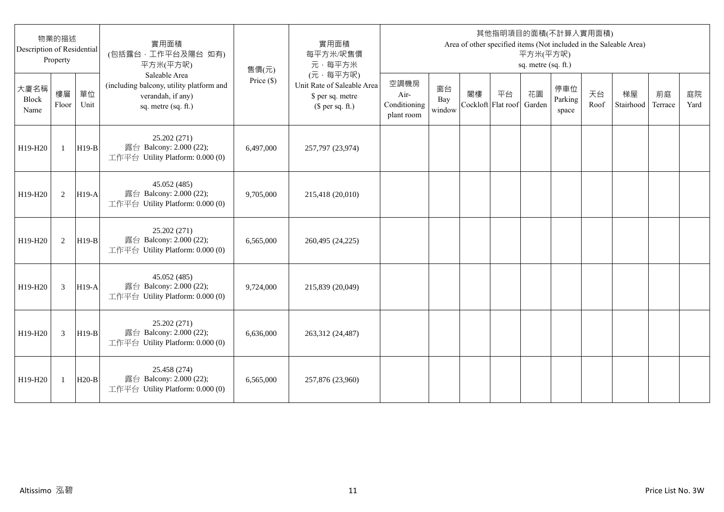| 物業的描述<br>Description of Residential<br>Property |              |            | 實用面積<br>(包括露台,工作平台及陽台 如有)<br>平方米(平方呎)                                                                 | 售價(元)        | 實用面積<br>每平方米/呎售價<br>元·每平方米                                                     | 其他指明項目的面積(不計算入實用面積)<br>Area of other specified items (Not included in the Saleable Area)<br>平方米(平方呎)<br>sq. metre (sq. ft.) |                     |                          |    |              |                         |            |                 |               |            |  |
|-------------------------------------------------|--------------|------------|-------------------------------------------------------------------------------------------------------|--------------|--------------------------------------------------------------------------------|-----------------------------------------------------------------------------------------------------------------------------|---------------------|--------------------------|----|--------------|-------------------------|------------|-----------------|---------------|------------|--|
| 大廈名稱<br><b>Block</b><br>Name                    | 樓層<br>Floor  | 單位<br>Unit | Saleable Area<br>(including balcony, utility platform and<br>verandah, if any)<br>sq. metre (sq. ft.) | Price $(\$)$ | (元·每平方呎)<br>Unit Rate of Saleable Area<br>\$ per sq. metre<br>$$$ per sq. ft.) | 空調機房<br>Air-<br>Conditioning<br>plant room                                                                                  | 窗台<br>Bay<br>window | 閣樓<br>Cockloft Flat roof | 平台 | 花園<br>Garden | 停車位<br>Parking<br>space | 天台<br>Roof | 梯屋<br>Stairhood | 前庭<br>Terrace | 庭院<br>Yard |  |
| H19-H20                                         | $\mathbf{1}$ | $H19-B$    | 25.202 (271)<br>露台 Balcony: 2.000 (22);<br>工作平台 Utility Platform: 0.000 (0)                           | 6,497,000    | 257,797 (23,974)                                                               |                                                                                                                             |                     |                          |    |              |                         |            |                 |               |            |  |
| H19-H20                                         | 2            | $H19-A$    | 45.052 (485)<br>露台 Balcony: 2.000 (22);<br>工作平台 Utility Platform: 0.000 (0)                           | 9,705,000    | 215,418 (20,010)                                                               |                                                                                                                             |                     |                          |    |              |                         |            |                 |               |            |  |
| H19-H20                                         | 2            | $H19-B$    | 25.202 (271)<br>露台 Balcony: 2.000 (22);<br>工作平台 Utility Platform: 0.000 (0)                           | 6.565.000    | 260,495 (24,225)                                                               |                                                                                                                             |                     |                          |    |              |                         |            |                 |               |            |  |
| H19-H20                                         | 3            | $H19-A$    | 45.052 (485)<br>露台 Balcony: 2.000 (22);<br>工作平台 Utility Platform: 0.000 (0)                           | 9,724,000    | 215,839 (20,049)                                                               |                                                                                                                             |                     |                          |    |              |                         |            |                 |               |            |  |
| H19-H20                                         | 3            | $H19-B$    | 25.202 (271)<br>露台 Balcony: 2.000 (22);<br>工作平台 Utility Platform: 0.000 (0)                           | 6,636,000    | 263,312 (24,487)                                                               |                                                                                                                             |                     |                          |    |              |                         |            |                 |               |            |  |
| H19-H20                                         | 1            | $H20-B$    | 25.458 (274)<br>露台 Balcony: 2.000 (22);<br>工作平台 Utility Platform: 0.000 (0)                           | 6,565,000    | 257,876 (23,960)                                                               |                                                                                                                             |                     |                          |    |              |                         |            |                 |               |            |  |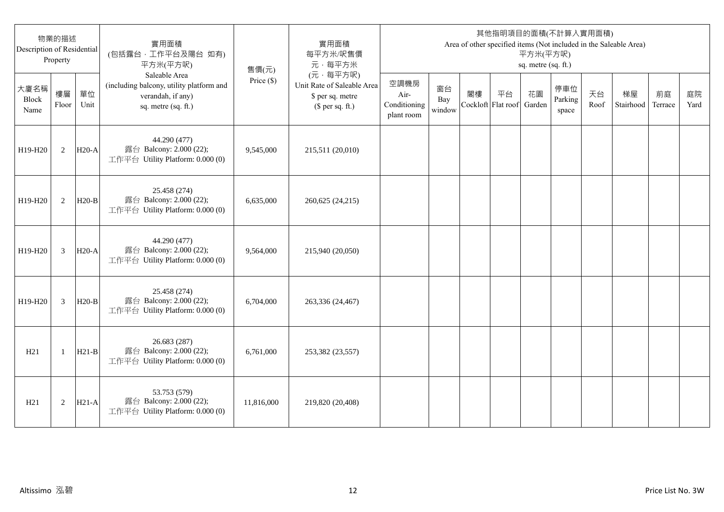| 物業的描述<br>Description of Residential<br>Property |                |            | 實用面積<br>(包括露台,工作平台及陽台 如有)<br>平方米(平方呎)                                                                 | 售價(元)        | 實用面積<br>每平方米/呎售價<br>元·每平方米                                                     | 其他指明項目的面積(不計算入實用面積)<br>Area of other specified items (Not included in the Saleable Area)<br>平方米(平方呎)<br>sq. metre (sq. ft.) |                     |                          |    |              |                         |            |                 |               |            |  |
|-------------------------------------------------|----------------|------------|-------------------------------------------------------------------------------------------------------|--------------|--------------------------------------------------------------------------------|-----------------------------------------------------------------------------------------------------------------------------|---------------------|--------------------------|----|--------------|-------------------------|------------|-----------------|---------------|------------|--|
| 大廈名稱<br>Block<br>Name                           | 樓層<br>Floor    | 單位<br>Unit | Saleable Area<br>(including balcony, utility platform and<br>verandah, if any)<br>sq. metre (sq. ft.) | Price $(\$)$ | (元·每平方呎)<br>Unit Rate of Saleable Area<br>\$ per sq. metre<br>$$$ per sq. ft.) | 空調機房<br>Air-<br>Conditioning<br>plant room                                                                                  | 窗台<br>Bay<br>window | 閣樓<br>Cockloft Flat roof | 平台 | 花園<br>Garden | 停車位<br>Parking<br>space | 天台<br>Roof | 梯屋<br>Stairhood | 前庭<br>Terrace | 庭院<br>Yard |  |
| H19-H20                                         | 2              | $H20-A$    | 44.290 (477)<br>露台 Balcony: 2.000 (22);<br>工作平台 Utility Platform: 0.000 (0)                           | 9,545,000    | 215,511 (20,010)                                                               |                                                                                                                             |                     |                          |    |              |                         |            |                 |               |            |  |
| H19-H20                                         | 2              | $H20-B$    | 25.458 (274)<br>露台 Balcony: 2.000 (22);<br>工作平台 Utility Platform: 0.000 (0)                           | 6,635,000    | 260,625 (24,215)                                                               |                                                                                                                             |                     |                          |    |              |                         |            |                 |               |            |  |
| H19-H20                                         | 3              | $H20-A$    | 44.290 (477)<br>露台 Balcony: 2.000 (22);<br>工作平台 Utility Platform: 0.000 (0)                           | 9,564,000    | 215,940 (20,050)                                                               |                                                                                                                             |                     |                          |    |              |                         |            |                 |               |            |  |
| H19-H20                                         | $\overline{3}$ | $H20-B$    | 25.458 (274)<br>露台 Balcony: 2.000 (22);<br>工作平台 Utility Platform: 0.000 (0)                           | 6,704,000    | 263,336 (24,467)                                                               |                                                                                                                             |                     |                          |    |              |                         |            |                 |               |            |  |
| H21                                             | -1             | $H21-B$    | 26.683 (287)<br>露台 Balcony: 2.000 (22);<br>工作平台 Utility Platform: 0.000 (0)                           | 6,761,000    | 253,382 (23,557)                                                               |                                                                                                                             |                     |                          |    |              |                         |            |                 |               |            |  |
| H21                                             | $\overline{2}$ | $H21-A$    | 53.753 (579)<br>露台 Balcony: 2.000 (22);<br>工作平台 Utility Platform: 0.000 (0)                           | 11,816,000   | 219,820 (20,408)                                                               |                                                                                                                             |                     |                          |    |              |                         |            |                 |               |            |  |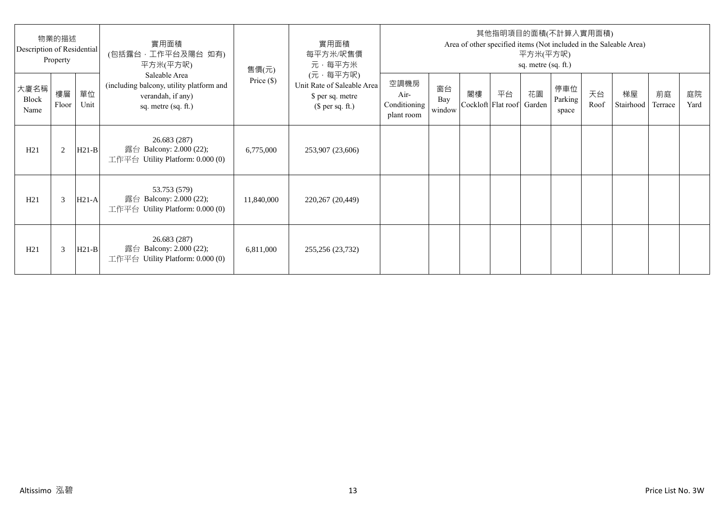| 物業的描述<br>Description of Residential<br>Property |             |            | 實用面積<br>(包括露台·工作平台及陽台 如有)<br>平方米(平方呎)                                                                 | 售價(元)        | 實用面積<br>每平方米/呎售價<br>元·每平方米                                                     | 其他指明項目的面積(不計算入實用面積)<br>Area of other specified items (Not included in the Saleable Area)<br>平方米(平方呎)<br>sq. metre (sq. ft.) |                     |    |                                 |    |                         |            |                 |               |            |
|-------------------------------------------------|-------------|------------|-------------------------------------------------------------------------------------------------------|--------------|--------------------------------------------------------------------------------|-----------------------------------------------------------------------------------------------------------------------------|---------------------|----|---------------------------------|----|-------------------------|------------|-----------------|---------------|------------|
| 大廈名稱<br>Block<br>Name                           | 樓層<br>Floor | 單位<br>Unit | Saleable Area<br>(including balcony, utility platform and<br>verandah, if any)<br>sq. metre (sq. ft.) | Price $(\$)$ | (元·每平方呎)<br>Unit Rate of Saleable Area<br>\$ per sq. metre<br>$$$ per sq. ft.) | 空調機房<br>Air-<br>Conditioning<br>plant room                                                                                  | 窗台<br>Bay<br>window | 閣樓 | 平台<br>Cockloft Flat roof Garden | 花園 | 停車位<br>Parking<br>space | 天台<br>Roof | 梯屋<br>Stairhood | 前庭<br>Terrace | 庭院<br>Yard |
| H21                                             | 2           | $H21-B$    | 26.683 (287)<br>露台 Balcony: 2.000 (22);<br>工作平台 Utility Platform: $0.000(0)$                          | 6,775,000    | 253,907 (23,606)                                                               |                                                                                                                             |                     |    |                                 |    |                         |            |                 |               |            |
| H21                                             | 3           | $H21-A$    | 53.753 (579)<br>露台 Balcony: 2.000 (22);<br>工作平台 Utility Platform: $0.000(0)$                          | 11,840,000   | 220,267 (20,449)                                                               |                                                                                                                             |                     |    |                                 |    |                         |            |                 |               |            |
| H21                                             | 3           | $H21-B$    | 26.683 (287)<br>露台 Balcony: 2.000 (22);<br>工作平台 Utility Platform: $0.000(0)$                          | 6,811,000    | 255,256 (23,732)                                                               |                                                                                                                             |                     |    |                                 |    |                         |            |                 |               |            |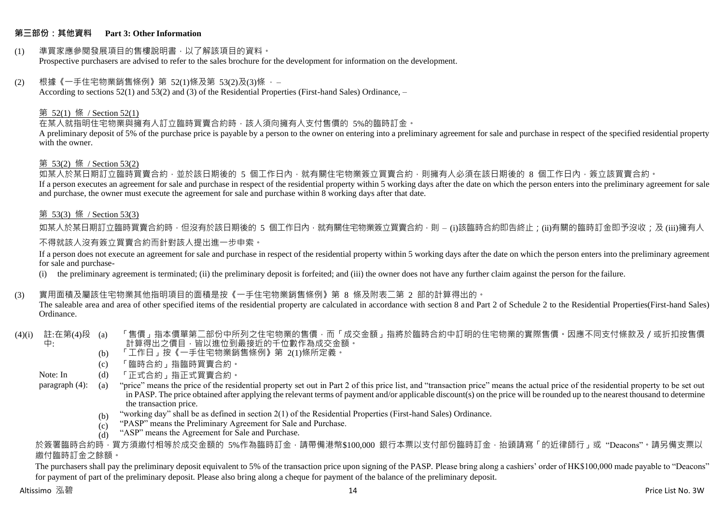#### **第三部份:其他資料 Part 3: Other Information**

#### (1) 準買家應參閱發展項目的售樓說明書,以了解該項目的資料。 Prospective purchasers are advised to refer to the sales brochure for the development for information on the development.

#### $(2)$  根據《一手住宅物業銷售條例》第 52(1)條及第 53(2)及(3)條,

According to sections 52(1) and 53(2) and (3) of the Residential Properties (First-hand Sales) Ordinance, –

#### 第 52(1) 條 / Section 52(1)

在某人就指明住宅物業與擁有人訂立臨時買賣合約時,該人須向擁有人支付售價的 5%的臨時訂金。

A preliminary deposit of 5% of the purchase price is payable by a person to the owner on entering into a preliminary agreement for sale and purchase in respect of the specified residential property with the owner.

#### 第 53(2) 條 / Section 53(2)

—————————————<br>如某人於某日期訂立臨時買賣合約,並於該日期後的 5 個工作日內,就有關住宅物業簽立買賣合約,則擁有人必須在該日期後的 8 個工作日內,簽立該買賣合約。 If a person executes an agreement for sale and purchase in respect of the residential property within 5 working days after the date on which the person enters into the preliminary agreement for sale and purchase, the owner must execute the agreement for sale and purchase within 8 working days after that date.

#### 第 53(3) 條 / Section 53(3)

如某人於某日期訂立臨時買賣合約時,但沒有於該日期後的 5 個工作日內,就有關住宅物業簽立買賣合約,則 – (i)該臨時合約即告終止;(ji)有關的臨時訂金即予沒收;及 (iii)擁有人

#### 不得就該人沒有簽立買賣合約而針對該人提出進一步申索。

If a person does not execute an agreement for sale and purchase in respect of the residential property within 5 working days after the date on which the person enters into the preliminary agreement for sale and purchase-

(i) the preliminary agreement is terminated; (ii) the preliminary deposit is forfeited; and (iii) the owner does not have any further claim against the person for the failure.

#### (3) 實用面積及屬該住宅物業其他指明項目的面積是按《一手住宅物業銷售條例》第 8 條及附表二第 2 部的計算得出的。

The saleable area and area of other specified items of the residential property are calculated in accordance with section 8 and Part 2 of Schedule 2 to the Residential Properties(First-hand Sales) Ordinance.

#### (4)(i) 註:在第(4)段 中: 「售價」指本價單第二部份中所列之住宅物業的售價,而「成交金額」指將於臨時合約中訂明的住宅物業的實際售價。因應不同支付條款及/或折扣按售價 計算得出之價目,皆以進位到最接近的千位數作為成交金額。

- (b) 「工作日」按《一手住宅物業銷售條例》第 2(1)條所定義。
- (c) 「臨時合約」指臨時買賣合約。
- Note: In (d) 「正式合約」指正式買賣合約。

paragraph (4): (a) "price" means the price of the residential property set out in Part 2 of this price list, and "transaction price" means the actual price of the residential property to be set out in PASP. The price obtained after applying the relevant terms of payment and/or applicable discount(s) on the price will be rounded up to the nearest thousand to determine the transaction price.

- (b) "working day" shall be as defined in section 2(1) of the Residential Properties (First-hand Sales) Ordinance.
- $(c)$ "PASP" means the Preliminary Agreement for Sale and Purchase.
- $(d)$ "ASP" means the Agreement for Sale and Purchase.

於簽署臨時合約時,買方須繳付相等於成交金額的 5%作為臨時訂金,請帶備港幣\$100,000 銀行本票以支付部份臨時訂金,抬頭請寫「的近律師行」或"Deacons"。請另備支票以 繳付臨時訂金之餘額。

The purchasers shall pay the preliminary deposit equivalent to 5% of the transaction price upon signing of the PASP. Please bring along a cashiers' order of HK\$100,000 made payable to "Deacons" for payment of part of the preliminary deposit. Please also bring along a cheque for payment of the balance of the preliminary deposit.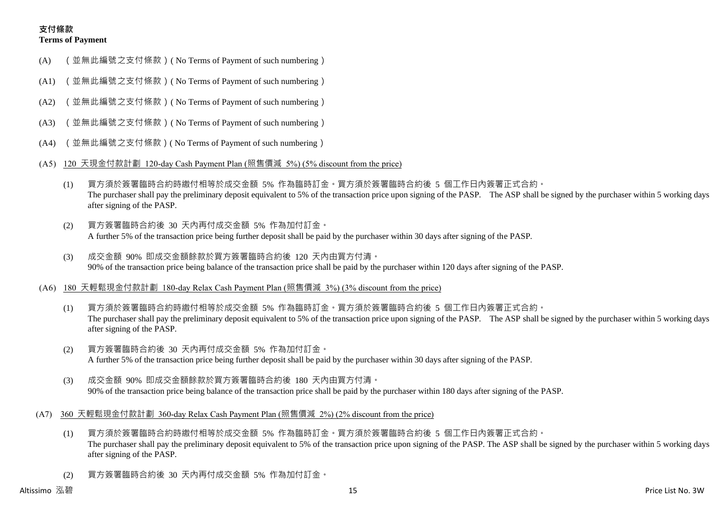## **支付條款 Terms of Payment**

- (A) (並無此編號之支付條款)( No Terms of Payment of such numbering)
- (A1) (並無此編號之支付條款)( No Terms of Payment of such numbering)
- (A2) (並無此編號之支付條款)( No Terms of Payment of such numbering)
- (A3) (並無此編號之支付條款)( No Terms of Payment of such numbering)
- (A4) (並無此編號之支付條款)( No Terms of Payment of such numbering)
- (A5) 120 天現金付款計劃 120-day Cash Payment Plan (照售價減 5%) (5% discount from the price)
	- (1) 買方須於簽署臨時合約時繳付相等於成交金額 5% 作為臨時訂金。買方須於簽署臨時合約後 5 個工作日內簽署正式合約。 The purchaser shall pay the preliminary deposit equivalent to 5% of the transaction price upon signing of the PASP. The ASP shall be signed by the purchaser within 5 working days after signing of the PASP.
	- (2) 買方簽署臨時合約後 30 天內再付成交金額 5% 作為加付訂金。 A further 5% of the transaction price being further deposit shall be paid by the purchaser within 30 days after signing of the PASP.
	- (3) 成交金額 90% 即成交金額餘款於買方簽署臨時合約後 120 天內由買方付清。 90% of the transaction price being balance of the transaction price shall be paid by the purchaser within 120 days after signing of the PASP.
- (A6) 180 天輕鬆現金付款計劃 180-day Relax Cash Payment Plan (照售價減 3%) (3% discount from the price)
	- (1) 買方須於簽署臨時合約時繳付相等於成交金額 5% 作為臨時訂金。買方須於簽署臨時合約後 5 個工作日內簽署正式合約。 The purchaser shall pay the preliminary deposit equivalent to 5% of the transaction price upon signing of the PASP. The ASP shall be signed by the purchaser within 5 working days after signing of the PASP.
	- (2) 買方簽署臨時合約後 30 天內再付成交金額 5% 作為加付訂金。 A further 5% of the transaction price being further deposit shall be paid by the purchaser within 30 days after signing of the PASP.
	- (3) 成交金額 90% 即成交金額餘款於買方簽署臨時合約後 180 天內由買方付清。 90% of the transaction price being balance of the transaction price shall be paid by the purchaser within 180 days after signing of the PASP.
- (A7) 360 天輕鬆現金付款計劃 360-day Relax Cash Payment Plan (照售價減 2%) (2% discount from the price)
	- (1) 買方須於簽署臨時合約時繳付相等於成交金額 5% 作為臨時訂金。買方須於簽署臨時合約後 5 個工作日內簽署正式合約。 The purchaser shall pay the preliminary deposit equivalent to 5% of the transaction price upon signing of the PASP. The ASP shall be signed by the purchaser within 5 working days after signing of the PASP.
	- (2) 買方簽署臨時合約後 30 天內再付成交金額 5% 作為加付訂金。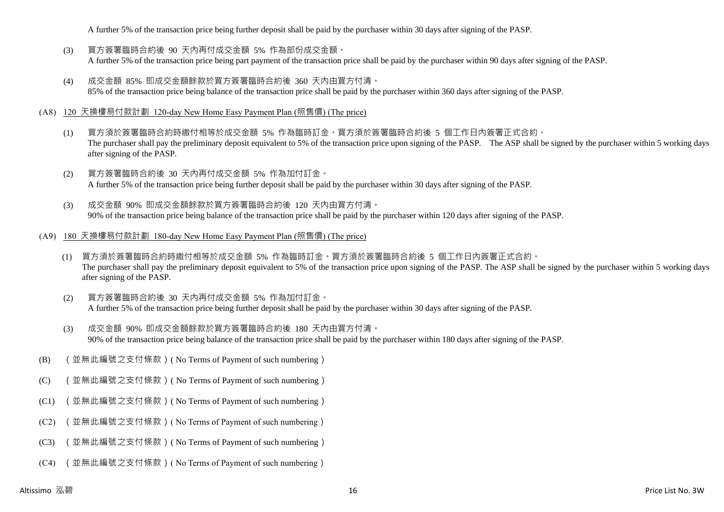A further 5% of the transaction price being further deposit shall be paid by the purchaser within 30 days after signing of the PASP.

- (3) 買方簽署臨時合約後 90 天內再付成交金額 5% 作為部份成交金額。 A further 5% of the transaction price being part payment of the transaction price shall be paid by the purchaser within 90 days after signing of the PASP.
- (4) 成交金額 85% 即成交金額餘款於買方簽署臨時合約後 360 天內由買方付清。 85% of the transaction price being balance of the transaction price shall be paid by the purchaser within 360 days after signing of the PASP.

#### (A8) 120 天換樓易付款計劃 120-day New Home Easy Payment Plan (照售價) (The price)

- (1) 買方須於簽署臨時合約時繳付相等於成交金額 5% 作為臨時訂金。買方須於簽署臨時合約後 5 個工作日內簽署正式合約。 The purchaser shall pay the preliminary deposit equivalent to 5% of the transaction price upon signing of the PASP. The ASP shall be signed by the purchaser within 5 working days after signing of the PASP.
- (2) 買方簽署臨時合約後 30 天內再付成交金額 5% 作為加付訂金。 A further 5% of the transaction price being further deposit shall be paid by the purchaser within 30 days after signing of the PASP.
- (3) 成交金額 90% 即成交金額餘款於買方簽署臨時合約後 120 天內由買方付清。 90% of the transaction price being balance of the transaction price shall be paid by the purchaser within 120 days after signing of the PASP.

#### (A9) 180 天換樓易付款計劃 180-day New Home Easy Payment Plan (照售價) (The price)

- (1) 買方須於簽署臨時合約時繳付相等於成交金額 5% 作為臨時訂金。買方須於簽署臨時合約後 5 個工作日內簽署正式合約。 The purchaser shall pay the preliminary deposit equivalent to 5% of the transaction price upon signing of the PASP. The ASP shall be signed by the purchaser within 5 working days after signing of the PASP.
- (2) 買方簽署臨時合約後 30 天內再付成交金額 5% 作為加付訂金。 A further 5% of the transaction price being further deposit shall be paid by the purchaser within 30 days after signing of the PASP.
- (3) 成交金額 90% 即成交金額餘款於買方簽署臨時合約後 180 天內由買方付清。 90% of the transaction price being balance of the transaction price shall be paid by the purchaser within 180 days after signing of the PASP.
- (B) (並無此編號之支付條款)( No Terms of Payment of such numbering)
- (C) (並無此編號之支付條款)( No Terms of Payment of such numbering)
- (C1) (並無此編號之支付條款)( No Terms of Payment of such numbering)
- (C2) (並無此編號之支付條款)( No Terms of Payment of such numbering)
- (C3) (並無此編號之支付條款)( No Terms of Payment of such numbering)
- (C4) (並無此編號之支付條款)( No Terms of Payment of such numbering)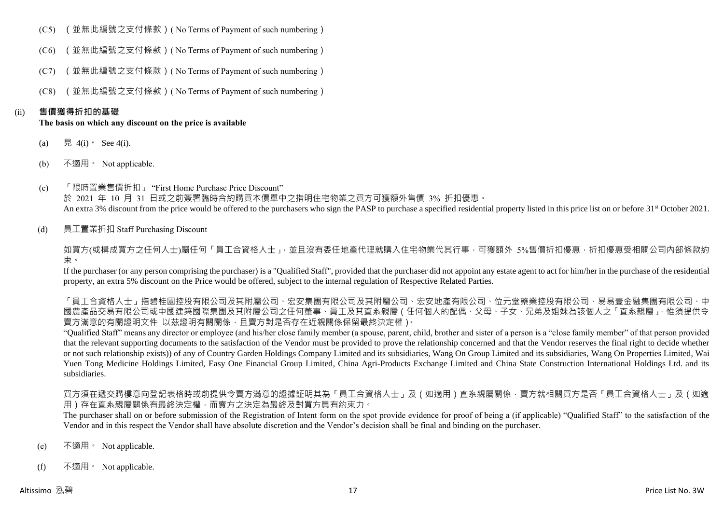- (C5) (並無此編號之支付條款)( No Terms of Payment of such numbering)
- (C6) (並無此編號之支付條款)( No Terms of Payment of such numbering)
- (C7) (並無此編號之支付條款)( No Terms of Payment of such numbering)
- (C8) (並無此編號之支付條款)( No Terms of Payment of such numbering)

#### (ii) **售價獲得折扣的基礎**

#### **The basis on which any discount on the price is available**

- (a) 見 4(i) See 4(i).
- (b) 不適用。 Not applicable.
- (c) 「限時置業售價折扣」 "First Home Purchase Price Discount" 於 2021 年 10 月 31 日或之前簽署臨時合約購買本價單中之指明住宅物業之買方可獲額外售價 3% 折扣優惠。 An extra 3% discount from the price would be offered to the purchasers who sign the PASP to purchase a specified residential property listed in this price list on or before 31<sup>st</sup> October 2021.
- (d) 員工置業折扣 Staff Purchasing Discount

如買方(或構成買方之任何人士)屬任何「員工合資格人士」,並且沒有委任地產代理就購入住宅物業代其行事,可獲額外 5%售價折扣優惠,折扣優惠受相關公司內部條款約 束。

If the purchaser (or any person comprising the purchaser) is a "Qualified Staff", provided that the purchaser did not appoint any estate agent to act for him/her in the purchase of the residential property, an extra 5% discount on the Price would be offered, subject to the internal regulation of Respective Related Parties.

「員工合資格人士」指碧桂園控股有限公司及其附屬公司、宏安集團有限公司及其附屬公司、宏安地產有限公司、位元堂藥業控股有限公司、易易壹金融集團有限公司、中 國農產品交易有限公司或中國建築國際集團及其附屬公司之任何董事、員工及其直系親屬(任何個人的配偶、父母、子女、兄弟及姐妹為該個人之「直系親屬」,惟須提供令 賣方滿意的有關證明文件 以茲證明有關關係,且賣方對是否存在近親關係保留最終決定權)。

"Qualified Staff" means any director or employee (and his/her close family member (a spouse, parent, child, brother and sister of a person is a "close family member" of that person provided that the relevant supporting documents to the satisfaction of the Vendor must be provided to prove the relationship concerned and that the Vendor reserves the final right to decide whether or not such relationship exists)) of any of Country Garden Holdings Company Limited and its subsidiaries, Wang On Group Limited and its subsidiaries, Wang On Properties Limited, Wai Yuen Tong Medicine Holdings Limited, Easy One Financial Group Limited, China Agri-Products Exchange Limited and China State Construction International Holdings Ltd. and its subsidiaries.

買方須在遞交購樓意向登記表格時或前提供令賣方滿意的證據証明其為「員工合資格人士」及(如適用)直系親屬關係,賣方就相關買方是否「員工合資格人士」及(如適 用)存在直系親屬關係有最終決定權,而賣方之決定為最終及對買方具有約束力。

The purchaser shall on or before submission of the Registration of Intent form on the spot provide evidence for proof of being a (if applicable) "Qualified Staff" to the satisfaction of the Vendor and in this respect the Vendor shall have absolute discretion and the Vendor's decision shall be final and binding on the purchaser.

- (e) 不適用。 Not applicable.
- (f) 不適用。 Not applicable.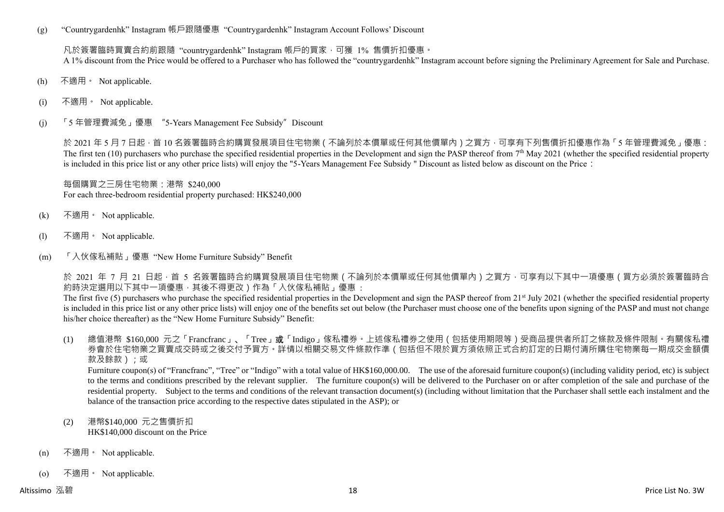(g) "Countrygardenhk" Instagram 帳戶跟隨優惠 "Countrygardenhk" Instagram Account Follows' Discount

凡於簽署臨時買賣合約前跟隨 "countrygardenhk" Instagram 帳戶的買家,可獲 1% 售價折扣優惠。 A 1% discount from the Price would be offered to a Purchaser who has followed the "countrygardenhk" Instagram account before signing the Preliminary Agreement for Sale and Purchase.

- (h) 不適用。 Not applicable.
- (i) 不適用。 Not applicable.
- (j) 「5 年管理費減免」優惠 "5-Years Management Fee Subsidy"Discount

於 2021 年 5 月 7 日起 · 首 10 名簽署臨時合約購買發展項目住宅物業 ( 不論列於本價單或任何其他價單內 ) 之買方 · 可享有下列售價折扣優惠作為「5 年管理費減免」優惠: The first ten  $(10)$  purchasers who purchase the specified residential properties in the Development and sign the PASP thereof from  $7<sup>th</sup>$  May 2021 (whether the specified residential property is included in this price list or any other price lists) will enjoy the "5-Years Management Fee Subsidy " Discount as listed below as discount on the Price:

每個購買之三房住宅物業:港幣 \$240,000 For each three-bedroom residential property purchased: HK\$240,000

- (k) 不適用。 Not applicable.
- (l) 不適用。 Not applicable.
- (m) 「入伙傢私補貼」優惠 "New Home Furniture Subsidy" Benefit

於 2021 年 7 月 21 日起,首 5 名簽署臨時合約購買發展項目住宅物業 ( 不論列於本價單或任何其他價單內 ) 之買方,可享有以下其中一項優惠 ( 買方必須於簽署臨時合 約時決定選用以下其中一項優惠,其後不得更改)作為「入伙傢私補貼」優惠:

The first five (5) purchasers who purchase the specified residential properties in the Development and sign the PASP thereof from 21<sup>st</sup> July 2021 (whether the specified residential property is included in this price list or any other price lists) will enjoy one of the benefits set out below (the Purchaser must choose one of the benefits upon signing of the PASP and must not change his/her choice thereafter) as the "New Home Furniture Subsidy" Benefit:

(1) 總值港幣 \$160,000 元之「Francfranc」、「Tree」或「Indigo」傢私禮券。上述傢私禮券之使用(包括使用期限等)受商品提供者所訂之條款及條件限制。有關傢私禮 券會於住宅物業之買賣成交時或之後交付予買方。詳情以相關交易文件條款作準(包括但不限於買方須依照正式合約訂定的日期付清所購住宅物業每一期成交金額價 款及餘款);或

Furniture coupon(s) of "Francfranc", "Tree" or "Indigo" with a total value of HK\$160,000.00. The use of the aforesaid furniture coupon(s) (including validity period, etc) is subject to the terms and conditions prescribed by the relevant supplier. The furniture coupon(s) will be delivered to the Purchaser on or after completion of the sale and purchase of the residential property. Subject to the terms and conditions of the relevant transaction document(s) (including without limitation that the Purchaser shall settle each instalment and the balance of the transaction price according to the respective dates stipulated in the ASP); or

- (2) 港幣\$140,000 元之售價折扣 HK\$140,000 discount on the Price
- (n) 不適用。 Not applicable.
- (o) 不適用。 Not applicable.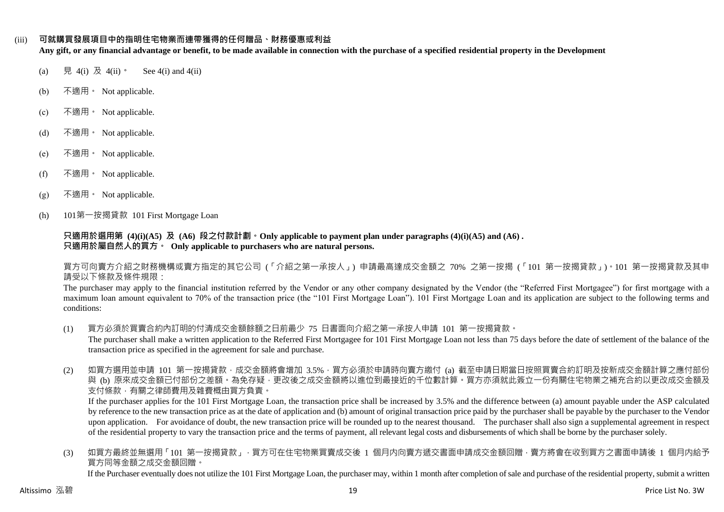#### (iii) **可就購買發展項目中的指明住宅物業而連帶獲得的任何贈品、財務優惠或利益**

**Any gift, or any financial advantage or benefit, to be made available in connection with the purchase of a specified residential property in the Development**

- (a) 見 4(i) 及 4(ii)。 See 4(i) and 4(ii)
- (b) 不適用。 Not applicable.
- (c) 不適用。 Not applicable.
- (d) 不適用。 Not applicable.
- (e) 不適用。 Not applicable.
- (f) 不適用。 Not applicable.
- $(g)$  不適用 Not applicable.
- (h) 101第一按揭貸款 101 First Mortgage Loan

#### **只適用於選用第 (4)(i)(A5) 及 (A6) 段之付款計劃。Only applicable to payment plan under paragraphs (4)(i)(A5) and (A6) . 只適用於屬自然人的買方。 Only applicable to purchasers who are natural persons.**

買方可向賣方介紹之財務機構或賣方指定的其它公司 (「介紹之第一承按人」) 申請最高達成交金額之 70% 之第一按揭 (「101 第一按揭貸款」)。101 第一按揭貸款及其申 請受以下條款及條件規限:

The purchaser may apply to the financial institution referred by the Vendor or any other company designated by the Vendor (the "Referred First Mortgagee") for first mortgage with a maximum loan amount equivalent to 70% of the transaction price (the "101 First Mortgage Loan"). 101 First Mortgage Loan and its application are subject to the following terms and conditions:

- (1) 買方必須於買賣合約內訂明的付清成交金額餘額之日前最少 75 日書面向介紹之第一承按人申請 101 第一按揭貸款。 The purchaser shall make a written application to the Referred First Mortgagee for 101 First Mortgage Loan not less than 75 days before the date of settlement of the balance of the transaction price as specified in the agreement for sale and purchase.
- (2) 如買方選用並申請 101 第一按揭貸款,成交金額將會增加 3.5%,買方必須於申請時向賣方繳付 (a) 截至申請日期當日按照買賣合約訂明及按新成交金額計算之應付部份 與 (b) 原來成交金額已付部份之差額。為免存疑,更改後之成交金額將以進位到最接近的千位數計算。買方亦須就此簽立一份有關住宅物業之補充合約以更改成交金額及 支付條款,有關之律師費用及雜費概由買方負責。

If the purchaser applies for the 101 First Mortgage Loan, the transaction price shall be increased by 3.5% and the difference between (a) amount payable under the ASP calculated by reference to the new transaction price as at the date of application and (b) amount of original transaction price paid by the purchaser shall be payable by the purchaser to the Vendor upon application. For avoidance of doubt, the new transaction price will be rounded up to the nearest thousand. The purchaser shall also sign a supplemental agreement in respect of the residential property to vary the transaction price and the terms of payment, all relevant legal costs and disbursements of which shall be borne by the purchaser solely.

(3) 如買方最終並無選用「101 第一按揭貸款」,買方可在住宅物業買賣成交後 1 個月内向賣方遞交書面申請成交金額回贈,賣方將會在收到買方之書面申請後 1 個月内給予 買方同等金額之成交金額回贈。

If the Purchaser eventually does not utilize the 101 First Mortgage Loan, the purchaser may, within 1 month after completion of sale and purchase of the residential property, submit a written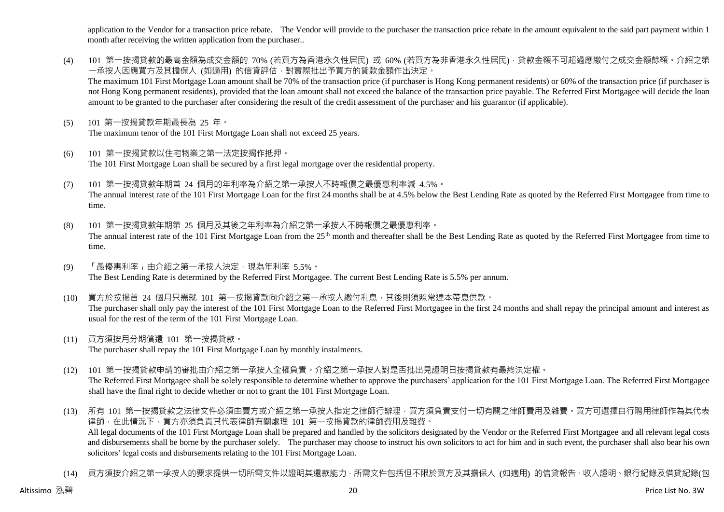application to the Vendor for a transaction price rebate. The Vendor will provide to the purchaser the transaction price rebate in the amount equivalent to the said part payment within 1 month after receiving the written application from the purchaser..

- (4) 101 第一按揭貸款的最高金額為成交金額的 70% (若買方為香港永久性居民) 或 60% (若買方為非香港永久性居民) · 貸款金額不可超過應繳付之成交金額餘額。介紹之第 一承按人因應買方及其擔保人 (如適用) 的信貸評估,對實際批出予買方的貸款金額作出決定。 The maximum 101 First Mortgage Loan amount shall be 70% of the transaction price (if purchaser is Hong Kong permanent residents) or 60% of the transaction price (if purchaser is not Hong Kong permanent residents), provided that the loan amount shall not exceed the balance of the transaction price payable. The Referred First Mortgagee will decide the loan amount to be granted to the purchaser after considering the result of the credit assessment of the purchaser and his guarantor (if applicable).
- (5) 101 第一按揭貸款年期最長為 25 年。 The maximum tenor of the 101 First Mortgage Loan shall not exceed 25 years.
- (6) 101 第一按揭貸款以住宅物業之第一法定按揭作抵押。 The 101 First Mortgage Loan shall be secured by a first legal mortgage over the residential property.
- (7) 101 第一按揭貸款年期首 24 個月的年利率為介紹之第一承按人不時報價之最優惠利率減 4.5%。 The annual interest rate of the 101 First Mortgage Loan for the first 24 months shall be at 4.5% below the Best Lending Rate as quoted by the Referred First Mortgagee from time to time.
- (8) 101 第一按揭貸款年期第 25 個月及其後之年利率為介紹之第一承按人不時報價之最優惠利率。 The annual interest rate of the 101 First Mortgage Loan from the 25<sup>th</sup> month and thereafter shall be the Best Lending Rate as quoted by the Referred First Mortgagee from time to time.
- (9) 「最優惠利率」由介紹之第一承按人決定,現為年利率 5.5%。 The Best Lending Rate is determined by the Referred First Mortgagee. The current Best Lending Rate is 5.5% per annum.
- (10) 買方於按揭首 24 個月只需就 101 第一按揭貸款向介紹之第一承按人繳付利息,其後則須照常連本帶息供款。 The purchaser shall only pay the interest of the 101 First Mortgage Loan to the Referred First Mortgagee in the first 24 months and shall repay the principal amount and interest as usual for the rest of the term of the 101 First Mortgage Loan.
- (11) 買方須按月分期償還 101 第一按揭貸款。 The purchaser shall repay the 101 First Mortgage Loan by monthly instalments.
- (12) 101 第一按揭貸款申請的審批由介紹之第一承按人全權負責。介紹之第一承按人對是否批出見證明日按揭貸款有最終決定權。 The Referred First Mortgagee shall be solely responsible to determine whether to approve the purchasers' application for the 101 First Mortgage Loan. The Referred First Mortgagee shall have the final right to decide whether or not to grant the 101 First Mortgage Loan.
- (13) 所有 101 第一按揭貸款之法律文件必須由賣方或介紹之第一承按人指定之律師行辦理,買方須負責支付一切有關之律師費用及雜費。買方可選擇自行聘用律師作為其代表 律師,在此情況下,買方亦須負責其代表律師有關處理 101 第一按揭貸款的律師費用及雜費。 All legal documents of the 101 First Mortgage Loan shall be prepared and handled by the solicitors designated by the Vendor or the Referred First Mortgagee and all relevant legal costs and disbursements shall be borne by the purchaser solely. The purchaser may choose to instruct his own solicitors to act for him and in such event, the purchaser shall also bear his own solicitors' legal costs and disbursements relating to the 101 First Mortgage Loan.
- (14) 買方須按介紹之第一承按人的要求提供一切所需文件以證明其還款能力,所需文件包括但不限於買方及其擔保人 (如適用) 的信貸報告、收入證明、銀行紀錄及借貸紀錄(包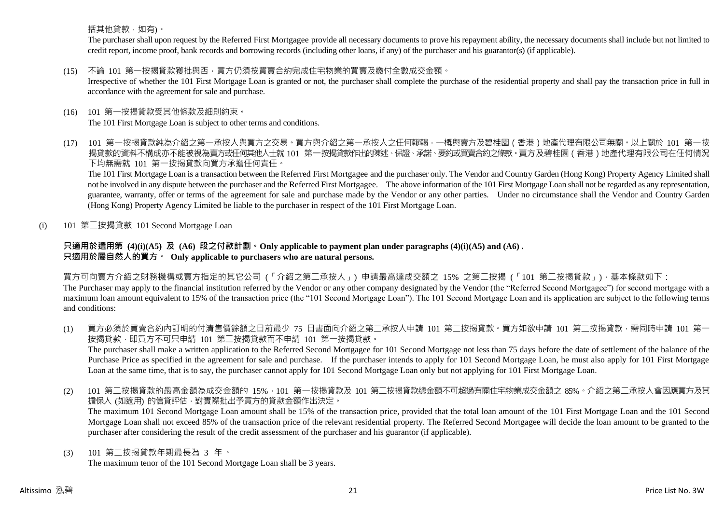括其他貸款,如有)。

The purchaser shall upon request by the Referred First Mortgagee provide all necessary documents to prove his repayment ability, the necessary documents shall include but not limited to credit report, income proof, bank records and borrowing records (including other loans, if any) of the purchaser and his guarantor(s) (if applicable).

### (15) 不論 101 第一按揭貸款獲批與否,買方仍須按買賣合約完成住宅物業的買賣及繳付全數成交金額。

Irrespective of whether the 101 First Mortgage Loan is granted or not, the purchaser shall complete the purchase of the residential property and shall pay the transaction price in full in accordance with the agreement for sale and purchase.

# (16) 101 第一按揭貸款受其他條款及細則約束。

The 101 First Mortgage Loan is subject to other terms and conditions.

(17) 101 第一按揭貸款純為介紹之第一承按人與買方之交易。買方與介紹之第一承按人之任何轇輵,一概與賣方及碧桂園(香港)地產代理有限公司無關。以上關於 101 第一按 揭貸款的資料不構成亦不能被視為賣方或任何其他人士就 101 第一按揭貸款作出的陳述、保證、承諾、要約或買賣合約之條款。賣方及碧桂園 ( 香港 ) 地產代理有限公司在任何情況 下均無需就 101 第一按揭貸款向買方承擔任何責任。

The 101 First Mortgage Loan is a transaction between the Referred First Mortgagee and the purchaser only. The Vendor and Country Garden (Hong Kong) Property Agency Limited shall not be involved in any dispute between the purchaser and the Referred First Mortgagee. The above information of the 101 First Mortgage Loan shall not be regarded as any representation, guarantee, warranty, offer or terms of the agreement for sale and purchase made by the Vendor or any other parties. Under no circumstance shall the Vendor and Country Garden (Hong Kong) Property Agency Limited be liable to the purchaser in respect of the 101 First Mortgage Loan.

(i) 101 第二按揭貸款 101 Second Mortgage Loan

#### **只適用於選用第 (4)(i)(A5) 及 (A6) 段之付款計劃。Only applicable to payment plan under paragraphs (4)(i)(A5) and (A6) . 只適用於屬自然人的買方。 Only applicable to purchasers who are natural persons.**

買方可向賣方介紹之財務機構或賣方指定的其它公司 (「介紹之第二承按人」) 申請最高達成交額之 15% 之第二按揭 (「101 第二按揭貸款」),基本條款如下:

The Purchaser may apply to the financial institution referred by the Vendor or any other company designated by the Vendor (the "Referred Second Mortgagee") for second mortgage with a maximum loan amount equivalent to 15% of the transaction price (the "101 Second Mortgage Loan"). The 101 Second Mortgage Loan and its application are subject to the following terms and conditions:

(1) 買方必須於買賣合約內訂明的付清售價餘額之日前最少 75 日書面向介紹之第二承按人申請 101 第二按揭貸款。買方如欲申請 101 第二按揭貸款,需同時申請 101 第一 按揭貸款,即買方不可只申請 101 第二按揭貸款而不申請 101 第一按揭貸款。

The purchaser shall make a written application to the Referred Second Mortgagee for 101 Second Mortgage not less than 75 days before the date of settlement of the balance of the Purchase Price as specified in the agreement for sale and purchase. If the purchaser intends to apply for 101 Second Mortgage Loan, he must also apply for 101 First Mortgage Loan at the same time, that is to say, the purchaser cannot apply for 101 Second Mortgage Loan only but not applying for 101 First Mortgage Loan.

(2) 101 第二按揭貸款的最高金額為成交金額的 15%,101 第一按揭貸款及 101 第二按揭貸款總金額不可超過有關住宅物業成交金額之 85%。介紹之第二承按人會因應買方及其 擔保人 (如適用) 的信貸評估,對實際批出予買方的貸款金額作出決定。

The maximum 101 Second Mortgage Loan amount shall be 15% of the transaction price, provided that the total loan amount of the 101 First Mortgage Loan and the 101 Second Mortgage Loan shall not exceed 85% of the transaction price of the relevant residential property. The Referred Second Mortgagee will decide the loan amount to be granted to the purchaser after considering the result of the credit assessment of the purchaser and his guarantor (if applicable).

(3) 101 第二按揭貸款年期最長為 3 年。 The maximum tenor of the 101 Second Mortgage Loan shall be 3 years.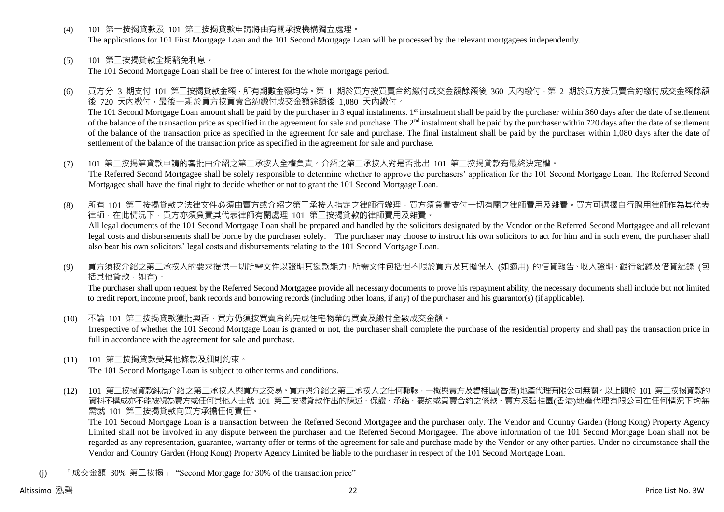- (4) 101 第一按揭貸款及 101 第二按揭貸款申請將由有關承按機構獨立處理。 The applications for 101 First Mortgage Loan and the 101 Second Mortgage Loan will be processed by the relevant mortgagees independently.
- (5) 101 第二按揭貸款全期豁免利息。

The 101 Second Mortgage Loan shall be free of interest for the whole mortgage period.

- (6) 買方分 3 期支付 101 第二按揭貸款金額,所有期數金額均等。第 1 期於買方按買賣合約繳付成交金額餘額後 360 天內繳付,第 2 期於買方按買賣合約繳付成交金額餘額 後 720 天內繳付,最後一期於買方按買賣合約繳付成交金額餘額後 1,080 天內繳付。 The 101 Second Mortgage Loan amount shall be paid by the purchaser in 3 equal instalments. 1<sup>st</sup> instalment shall be paid by the purchaser within 360 days after the date of settlement of the balance of the transaction price as specified in the agreement for sale and purchase. The 2<sup>nd</sup> instalment shall be paid by the purchaser within 720 days after the date of settlement of the balance of the transaction price as specified in the agreement for sale and purchase. The final instalment shall be paid by the purchaser within 1,080 days after the date of settlement of the balance of the transaction price as specified in the agreement for sale and purchase.
- (7) 101 第二按揭第貸款申請的審批由介紹之第二承按人全權負責。介紹之第二承按人對是否批出 101 第二按揭貸款有最終決定權。 The Referred Second Mortgagee shall be solely responsible to determine whether to approve the purchasers' application for the 101 Second Mortgage Loan. The Referred Second Mortgagee shall have the final right to decide whether or not to grant the 101 Second Mortgage Loan.
- (8) 所有 101 第二按揭貸款之法律文件必須由賣方或介紹之第二承按人指定之律師行辦理,買方須負責支付一切有關之律師費用及雜費。買方可選擇自行聘用律師作為其代表 律師,在此情況下,買方亦須負責其代表律師有關處理 101 第二按揭貸款的律師費用及雜費。 All legal documents of the 101 Second Mortgage Loan shall be prepared and handled by the solicitors designated by the Vendor or the Referred Second Mortgagee and all relevant legal costs and disbursements shall be borne by the purchaser solely. The purchaser may choose to instruct his own solicitors to act for him and in such event, the purchaser shall also bear his own solicitors' legal costs and disbursements relating to the 101 Second Mortgage Loan.
- (9) 買方須按介紹之第二承按人的要求提供一切所需文件以證明其還款能力,所需文件包括但不限於買方及其擔保人 (如適用) 的信貸報告、收入證明、銀行紀錄及借貸紀錄 (包 括其他貸款,如有)。

The purchaser shall upon request by the Referred Second Mortgagee provide all necessary documents to prove his repayment ability, the necessary documents shall include but not limited to credit report, income proof, bank records and borrowing records (including other loans, if any) of the purchaser and his guarantor(s) (if applicable).

- (10) 不論 101 第二按揭貸款獲批與否,買方仍須按買賣合約完成住宅物業的買賣及繳付全數成交金額。 Irrespective of whether the 101 Second Mortgage Loan is granted or not, the purchaser shall complete the purchase of the residential property and shall pay the transaction price in full in accordance with the agreement for sale and purchase.
- (11) 101 第二按揭貸款受其他條款及細則約束。 The 101 Second Mortgage Loan is subject to other terms and conditions.
- (12) 101 第二按揭貸款純為介紹之第二承按人與買方之交易。買方與介紹之第二承按人之任何轇輵,一概與賣方及碧桂園(香港)地產代理有限公司無關。以上關於 101 第二按揭貸款的 資料不構成亦不能被視為賣方或任何其他人士就 101 第二按揭貸款作出的陳述、保證、承諾、要約或買賣合約之條款。賣方及碧桂園(香港)地產代理有限公司在任何情況下均無 需就 101 第二按揭貸款向買方承擔任何責任。

The 101 Second Mortgage Loan is a transaction between the Referred Second Mortgagee and the purchaser only. The Vendor and Country Garden (Hong Kong) Property Agency Limited shall not be involved in any dispute between the purchaser and the Referred Second Mortgagee. The above information of the 101 Second Mortgage Loan shall not be regarded as any representation, guarantee, warranty offer or terms of the agreement for sale and purchase made by the Vendor or any other parties. Under no circumstance shall the Vendor and Country Garden (Hong Kong) Property Agency Limited be liable to the purchaser in respect of the 101 Second Mortgage Loan.

(j) 「成交金額 30% 第二按揭」 "Second Mortgage for 30% of the transaction price"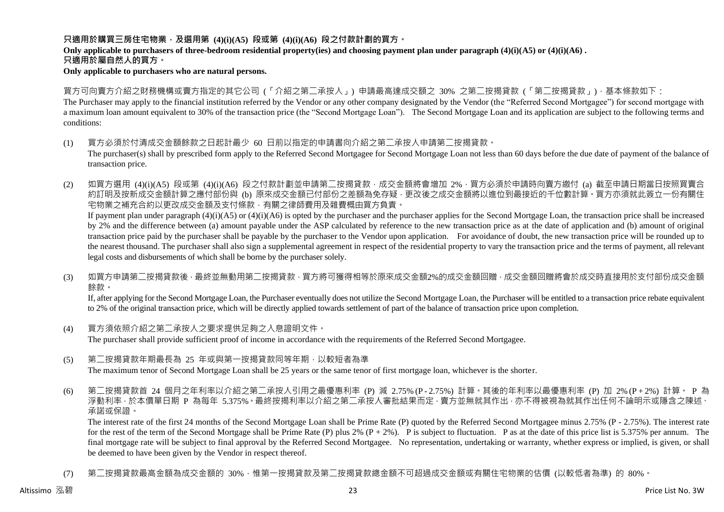#### **只適用於購買三房住宅物業,及選用第 (4)(i)(A5) 段或第 (4)(i)(A6) 段之付款計劃的買方。**

# **Only applicable to purchasers of three-bedroom residential property(ies) and choosing payment plan under paragraph (4)(i)(A5) or (4)(i)(A6) .**

**只適用於屬自然人的買方。**

#### **Only applicable to purchasers who are natural persons.**

買方可向賣方介紹之財務機構或賣方指定的其它公司 (「介紹之第二承按人」) 申請最高達成交額之 30% 之第二按揭貸款 (「第二按揭貸款」),基本條款如下: The Purchaser may apply to the financial institution referred by the Vendor or any other company designated by the Vendor (the "Referred Second Mortgagee") for second mortgage with a maximum loan amount equivalent to 30% of the transaction price (the "Second Mortgage Loan"). The Second Mortgage Loan and its application are subject to the following terms and conditions:

- (1) 買方必須於付清成交金額餘款之日起計最少 60 日前以指定的申請書向介紹之第二承按人申請第二按揭貸款。 The purchaser(s) shall by prescribed form apply to the Referred Second Mortgagee for Second Mortgage Loan not less than 60 days before the due date of payment of the balance of transaction price.
- (2) 如買方選用 (4)(i)(A5) 段或第 (4)(i)(A6) 段之付款計劃並申請第二按揭貸款,成交金額將會增加 2%,買方必須於申請時向賣方繳付 (a) 截至申請日期當日按照買賣合 約訂明及按新成交金額計算之應付部份與 (b) 原來成交金額已付部份之差額為免存疑,更改後之成交金額將以進位到最接近的千位數計算。買方亦須就此簽立一份有關住 宅物業之補充合約以更改成交金額及支付條款,有關之律師費用及雜費概由買方負責。

If payment plan under paragraph  $(4)(i)(A5)$  or  $(4)(i)(A6)$  is opted by the purchaser and the purchaser applies for the Second Mortgage Loan, the transaction price shall be increased by 2% and the difference between (a) amount payable under the ASP calculated by reference to the new transaction price as at the date of application and (b) amount of original transaction price paid by the purchaser shall be payable by the purchaser to the Vendor upon application. For avoidance of doubt, the new transaction price will be rounded up to the nearest thousand. The purchaser shall also sign a supplemental agreement in respect of the residential property to vary the transaction price and the terms of payment, all relevant legal costs and disbursements of which shall be borne by the purchaser solely.

(3) 如買方申請第二按揭貸款後,最終並無動用第二按揭貸款,買方將可獲得相等於原來成交金額2%的成交金額回贈,成交金額回贈將會於成交時直接用於支付部份成交金額 餘款。

If, after applying for the Second Mortgage Loan, the Purchaser eventually does not utilize the Second Mortgage Loan, the Purchaser will be entitled to a transaction price rebate equivalent to 2% of the original transaction price, which will be directly applied towards settlement of part of the balance of transaction price upon completion.

- (4) 買方須依照介紹之第二承按人之要求提供足夠之入息證明文件。 The purchaser shall provide sufficient proof of income in accordance with the requirements of the Referred Second Mortgagee.
- (5) 第二按揭貸款年期最長為 25 年或與第一按揭貸款同等年期,以較短者為準 The maximum tenor of Second Mortgage Loan shall be 25 years or the same tenor of first mortgage loan, whichever is the shorter.
- (6) 第二按揭貸款首 24 個月之年利率以介紹之第二承按人引用之最優惠利率 (P) 減 2.75% (P 2.75%) 計算。其後的年利率以最優惠利率 (P) 加 2% (P + 2%) 計算。 P 為 浮動利率,於本價單日期 P 為每年 5.375%。最終按揭利率以介紹之第二承按人審批結果而定,賣方並無就其作出,亦不得被視為就其作出任何不論明示或隱含之陳述、 承諾或保證。

The interest rate of the first 24 months of the Second Mortgage Loan shall be Prime Rate (P) quoted by the Referred Second Mortgagee minus 2.75% (P - 2.75%). The interest rate for the rest of the term of the Second Mortgage shall be Prime Rate (P) plus 2%  $(P + 2\%)$ . P is subject to fluctuation. P as at the date of this price list is 5.375% per annum. The final mortgage rate will be subject to final approval by the Referred Second Mortgagee. No representation, undertaking or warranty, whether express or implied, is given, or shall be deemed to have been given by the Vendor in respect thereof.

(7) 第二按揭貸款最高金額為成交金額的 30%,惟第一按揭貸款及第三按揭貸款總金額不可超過成交金額或有關住宅物業的估價 (以較低者為準) 的 80%。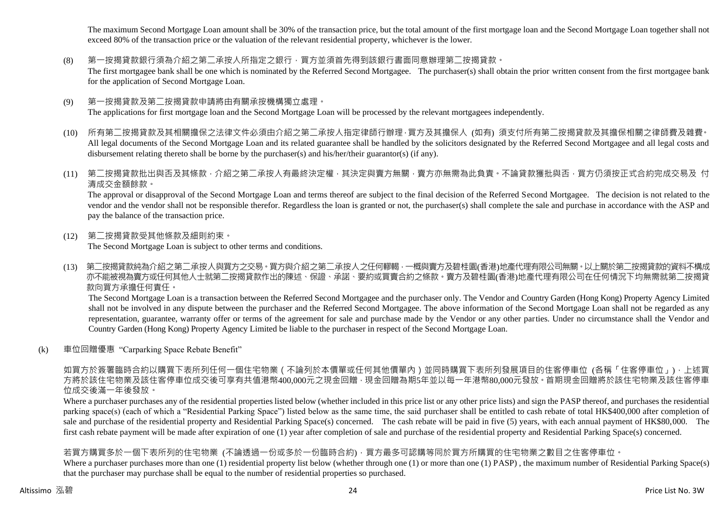The maximum Second Mortgage Loan amount shall be 30% of the transaction price, but the total amount of the first mortgage loan and the Second Mortgage Loan together shall not exceed 80% of the transaction price or the valuation of the relevant residential property, whichever is the lower.

#### (8) 第一按揭貸款銀行須為介紹之第二承按人所指定之銀行,買方並須首先得到該銀行書面同意辦理第二按揭貸款。

The first mortgagee bank shall be one which is nominated by the Referred Second Mortgagee. The purchaser(s) shall obtain the prior written consent from the first mortgagee bank for the application of Second Mortgage Loan.

- (9) 第一按揭貸款及第二按揭貸款申請將由有關承按機構獨立處理。 The applications for first mortgage loan and the Second Mortgage Loan will be processed by the relevant mortgagees independently.
- (10) 所有第二按揭貸款及其相關擔保之法律文件必須由介紹之第二承按人指定律師行辦理,買方及其擔保人 (如有) 須支付所有第二按揭貸款及其擔保相關之律師費及雜費。 All legal documents of the Second Mortgage Loan and its related guarantee shall be handled by the solicitors designated by the Referred Second Mortgagee and all legal costs and disbursement relating thereto shall be borne by the purchaser(s) and his/her/their guarantor(s) (if any).
- (11) 第二按揭貸款批出與否及其條款,介紹之第二承按人有最終決定權,其決定與賣方無關,賣方亦無需為此負責。不論貸款獲批與否,買方仍須按正式合約完成交易及 付 清成交金額餘款。

The approval or disapproval of the Second Mortgage Loan and terms thereof are subject to the final decision of the Referred Second Mortgagee. The decision is not related to the vendor and the vendor shall not be responsible therefor. Regardless the loan is granted or not, the purchaser(s) shall complete the sale and purchase in accordance with the ASP and pay the balance of the transaction price.

(12) 第二按揭貸款受其他條款及細則約束。

The Second Mortgage Loan is subject to other terms and conditions.

(13) 第二按揭貸款純為介紹之第二承按人與買方之交易。買方與介紹之第二承按人之任何轇輵,一概與賣方及碧桂園(香港)地產代理有限公司無關。以上關於第二按揭貸款的資料不構成 亦不能被視為賣方或任何其他人士就第二按揭貸款作出的陳述、保證、承諾、要約或買賣合約之條款。賣方及碧桂園(香港)地產代理有限公司在任何情況下均無需就第二按揭貸 款向買方承擔任何責任。

The Second Mortgage Loan is a transaction between the Referred Second Mortgagee and the purchaser only. The Vendor and Country Garden (Hong Kong) Property Agency Limited shall not be involved in any dispute between the purchaser and the Referred Second Mortgagee. The above information of the Second Mortgage Loan shall not be regarded as any representation, guarantee, warranty offer or terms of the agreement for sale and purchase made by the Vendor or any other parties. Under no circumstance shall the Vendor and Country Garden (Hong Kong) Property Agency Limited be liable to the purchaser in respect of the Second Mortgage Loan.

(k) 車位回贈優惠 "Carparking Space Rebate Benefit"

如買方於簽署臨時合約以購買下表所列任何一個住宅物業 ( 不論列於本價單或任何其他價單內 ) 並同時購買下表所列發展項目的住客停車位 (各稱「住客停車位 」) · 上述買 方將於該住宅物業及該住客停車位成交後可享有共值港幣400,000元之現金回贈,現金回贈為期5年並以每一年港幣80,000元發放。首期現金回贈將於該住宅物業及該住客停車 位成交後滿一年後發放。

Where a purchaser purchases any of the residential properties listed below (whether included in this price list or any other price lists) and sign the PASP thereof, and purchases the residential parking space(s) (each of which a "Residential Parking Space") listed below as the same time, the said purchaser shall be entitled to cash rebate of total HK\$400,000 after completion of sale and purchase of the residential property and Residential Parking Space(s) concerned. The cash rebate will be paid in five (5) years, with each annual payment of HK\$80,000. The first cash rebate payment will be made after expiration of one (1) year after completion of sale and purchase of the residential property and Residential Parking Space(s) concerned.

#### 若買方購買多於一個下表所列的住宅物業 (不論透過一份或多於一份臨時合約),買方最多可認購等同於買方所購買的住宅物業之數目之住客停車位。

Where a purchaser purchases more than one (1) residential property list below (whether through one (1) or more than one (1) PASP), the maximum number of Residential Parking Space(s) that the purchaser may purchase shall be equal to the number of residential properties so purchased.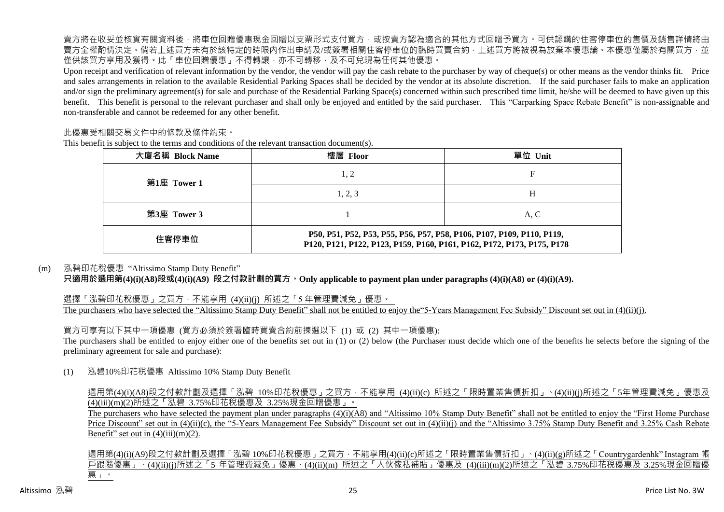賣方將在收妥並核實有關資料後,將車位回贈優惠現金回贈以支票形式支付買方,或按賣方認為適合的其他方式回贈予買方。可供認購的住客停車位的售價及銷售詳情將由 賣方全權酌情決定。倘若上述買方未有於該特定的時限內作出申請及/或簽署相關住客停車位的臨時買賣合約,上述買方將被視為放棄本優惠論。本優惠僅屬於有關買方,並 僅供該買方享用及獲得。此「車位回贈優惠」不得轉讓,亦不可轉移,及不可兌現為任何其他優惠。

Upon receipt and verification of relevant information by the vendor, the vendor will pay the cash rebate to the purchaser by way of cheque(s) or other means as the vendor thinks fit. Price and sales arrangements in relation to the available Residential Parking Spaces shall be decided by the vendor at its absolute discretion. If the said purchaser fails to make an application and/or sign the preliminary agreement(s) for sale and purchase of the Residential Parking Space(s) concerned within such prescribed time limit, he/she will be deemed to have given up this benefit. This benefit is personal to the relevant purchaser and shall only be enjoyed and entitled by the said purchaser. This "Carparking Space Rebate Benefit" is non-assignable and non-transferable and cannot be redeemed for any other benefit.

#### 此優惠受相關交易文件中的條款及條件約束。

This benefit is subject to the terms and conditions of the relevant transaction document(s).

| 大廈名稱 Block Name | 樓層 Floor                                                                                                                                        | 單位 Unit |  |  |  |  |  |
|-----------------|-------------------------------------------------------------------------------------------------------------------------------------------------|---------|--|--|--|--|--|
| 第1座 Tower 1     | 1, 2                                                                                                                                            |         |  |  |  |  |  |
|                 | 1, 2, 3                                                                                                                                         | Н       |  |  |  |  |  |
| 第3座 Tower 3     |                                                                                                                                                 | A, C    |  |  |  |  |  |
| 住客停車位           | P50, P51, P52, P53, P55, P56, P57, P58, P106, P107, P109, P110, P119,<br>P120, P121, P122, P123, P159, P160, P161, P162, P172, P173, P175, P178 |         |  |  |  |  |  |

#### (m) 泓碧印花稅優惠 "Altissimo Stamp Duty Benefit"

**只適用於選用第(4)(i)(A8)段或(4)(i)(A9) 段之付款計劃的買方。Only applicable to payment plan under paragraphs (4)(i)(A8) or (4)(i)(A9).**

選擇「泓碧印花稅優惠」之買方, 不能享用 (4)(ii)(i) 所述之「5 年管理費減免」優惠。 The purchasers who have selected the "Altissimo Stamp Duty Benefit" shall not be entitled to enjoy the "5-Years Management Fee Subsidy" Discount set out in (4)(ii)(j).

買方可享有以下其中一項優惠 (買方必須於簽署臨時買賣合約前揀選以下 (1) 或 (2) 其中一項優惠): The purchasers shall be entitled to enjoy either one of the benefits set out in (1) or (2) below (the Purchaser must decide which one of the benefits he selects before the signing of the preliminary agreement for sale and purchase):

(1) 泓碧10%印花稅優惠 Altissimo 10% Stamp Duty Benefit

選用第(4)(i)(A8)段之付款計劃及選擇「泓碧 10%印花稅優惠」之買方,不能享用 (4)(ii)(c) 所述之「限時置業售價折扣」、(4)(ii)(j)所述之「5年管理費減免」優惠及 (4)(iii)(m)(2)所述之「泓碧 3.75%印花稅優惠及 3.25%現金回贈優惠」。

The purchasers who have selected the payment plan under paragraphs  $(4)(i)(A8)$  and "Altissimo 10% Stamp Duty Benefit" shall not be entitled to enjoy the "First Home Purchase" Price Discount" set out in (4)(ii)(c), the "5-Years Management Fee Subsidy" Discount set out in (4)(ii)(j) and the "Altissimo 3.75% Stamp Duty Benefit and 3.25% Cash Rebate Benefit" set out in  $(4)(iii)(m)(2)$ .

選用第(4)(i)(A9)段之付款計劃及選擇「泓碧 10%印花稅優惠」之買方,不能享用(4)(ii)(c)所述之「限時置業售價折扣」、(4)(ii)(g)所述之「Countrygardenhk" Instagram 帳 戶跟隨優惠」、(4)(ii)(j)所述之「5 年管理費減免」優惠、(4)(ii)(m) 所述之「入伙傢私補貼」優惠及 (4)(iii)(m)(2)所述之「泓碧 3.75%印花稅優惠及 3.25%現金回贈優 惠」。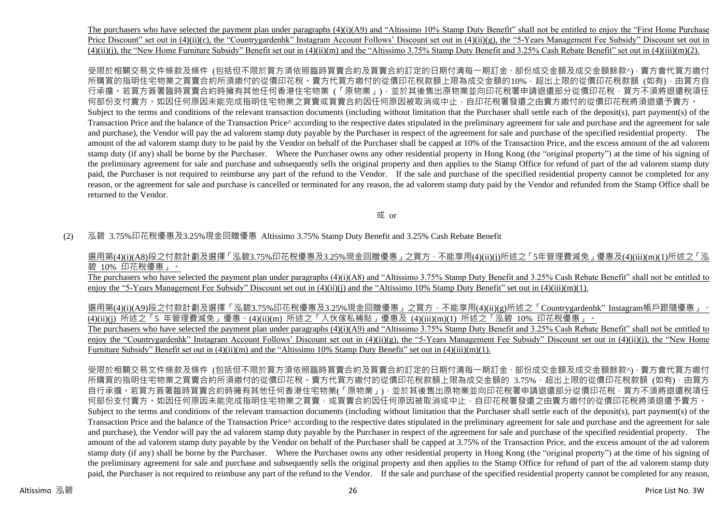The purchasers who have selected the payment plan under paragraphs (4)(i)(A9) and "Altissimo 10% Stamp Duty Benefit" shall not be entitled to enjoy the "First Home Purchase Price Discount" set out in (4)(ii)(c), the "Countrygardenhk" Instagram Account Follows' Discount set out in (4)(ii)(g), the "5-Years Management Fee Subsidy" Discount set out in  $(4)(ii)(i)$ , the "New Home Furniture Subsidy" Benefit set out in  $(4)(ii)(m)$  and the "Altissimo 3.75% Stamp Duty Benefit and 3.25% Cash Rebate Benefit" set out in  $(4)(iii)(m)(2)$ .

受限於相關交易文件條款及條件 (包括但不限於買方須依照臨時買賣合約及買賣合約訂定的日期付清每一期訂金、部份成交金額及成交金額餘款^),賣方會代買方繳付 所購買的指明住宅物業之買賣合約所須繳付的從價印花稅。賣方代買方繳付的從價印花稅款額上限為成交金額的10%,超出上限的從價印花稅款額 (如有),由買方自 行承擔。若買方簽署臨時買賣合約時擁有其他任何香港住宅物業 (「原物業」),並於其後售出原物業並向印花稅署申請退還部分從價印花稅,買方不須將退還稅項任 何部份支付賣方。如因任何原因未能完成指明住宅物業之買賣或買賣合約因任何原因被取消或中止,自印花稅署發還之由賣方繳付的從價印花稅將須退還予賣方。 Subject to the terms and conditions of the relevant transaction documents (including without limitation that the Purchaser shall settle each of the deposit(s), part payment(s) of the Transaction Price and the balance of the Transaction Price<sup> $\land$ </sup> according to the respective dates stipulated in the preliminary agreement for sale and purchase and the agreement for sale and purchase), the Vendor will pay the ad valorem stamp duty payable by the Purchaser in respect of the agreement for sale and purchase of the specified residential property. The amount of the ad valorem stamp duty to be paid by the Vendor on behalf of the Purchaser shall be capped at 10% of the Transaction Price, and the excess amount of the ad valorem stamp duty (if any) shall be borne by the Purchaser. Where the Purchaser owns any other residential property in Hong Kong (the "original property") at the time of his signing of the preliminary agreement for sale and purchase and subsequently sells the original property and then applies to the Stamp Office for refund of part of the ad valorem stamp duty paid, the Purchaser is not required to reimburse any part of the refund to the Vendor. If the sale and purchase of the specified residential property cannot be completed for any reason, or the agreement for sale and purchase is cancelled or terminated for any reason, the ad valorem stamp duty paid by the Vendor and refunded from the Stamp Office shall be returned to the Vendor.

或 or

#### (2) 泓碧 3.75%印花稅優惠及3.25%現金回贈優惠 Altissimo 3.75% Stamp Duty Benefit and 3.25% Cash Rebate Benefit

選用第(4)(i)(A8)段之付款計劃及選擇「泓碧3.75%印花稅優惠及3.25%現金回贈優惠」之買方,不能享用(4)(ii)(j)所述之「5年管理費減免」優惠及(4)(iii)(m)(1)所述之「泓 碧 10% 印花稅優惠」。

The purchasers who have selected the payment plan under paragraphs (4)(i)(A8) and "Altissimo 3.75% Stamp Duty Benefit and 3.25% Cash Rebate Benefit" shall not be entitled to enjoy the "5-Years Management Fee Subsidy" Discount set out in (4)(ii)(j) and the "Altissimo 10% Stamp Duty Benefit" set out in (4)(iii)(m)(1).

選用第(4)(i)(A9)段之付款計劃及選擇「泓碧3.75%印花稅優惠及3.25%現金回贈優惠」之買方,不能享用(4)(ii)(g)所述之「Countrygardenhk"Instagram帳戶跟隨優惠」、 (4)(ii)(j) 所述之「5 年管理費減免」優惠、(4)(ii)(m) 所述之「入伙傢私補貼」優惠及 (4)(iii)(m)(1) 所述之「泓碧 10% 印花稅優惠」。

The purchasers who have selected the payment plan under paragraphs (4)(i)(A9) and "Altissimo 3.75% Stamp Duty Benefit and 3.25% Cash Rebate Benefit" shall not be entitled to enjoy the "Countrygardenhk" Instagram Account Follows' Discount set out in (4)(ii)(g), the "5-Years Management Fee Subsidy" Discount set out in (4)(ii)(j), the "New Home Furniture Subsidy" Benefit set out in (4)(ii)(m) and the "Altissimo 10% Stamp Duty Benefit" set out in (4)(iii)(m)(1).

受限於相關交易文件條款及條件 (包括但不限於買方須依照臨時買賣合約及買賣合約訂定的日期付清每一期訂金、部份成交金額及成交金額餘款^),賣方會代買方繳付 所購買的指明住宅物業之買賣合約所須繳付的從價印花稅。賣方代買方繳付的從價印花稅款額上限為成交金額的 3.75%, 超出上限的從價印花稅款額 (如有),由買方 自行承擔。若買方簽署臨時買賣合約時擁有其他任何香港住宅物業(「原物業」),並於其後售出原物業並向印花稅署申請退還部分從價印花稅,買方不須將退還稅項任 何部份支付賣方。如因任何原因未能完成指明住宅物業之買賣,或買賣合約因任何原因被取消或中止,自印花稅署發還之由賣方總付的從價印花稅將須退還予賣方。 Subject to the terms and conditions of the relevant transaction documents (including without limitation that the Purchaser shall settle each of the deposit(s), part payment(s) of the Transaction Price and the balance of the Transaction Price^ according to the respective dates stipulated in the preliminary agreement for sale and purchase and the agreement for sale and purchase), the Vendor will pay the ad valorem stamp duty payable by the Purchaser in respect of the agreement for sale and purchase of the specified residential property. The amount of the ad valorem stamp duty payable by the Vendor on behalf of the Purchaser shall be capped at 3.75% of the Transaction Price, and the excess amount of the ad valorem stamp duty (if any) shall be borne by the Purchaser. Where the Purchaser owns any other residential property in Hong Kong (the "original property") at the time of his signing of the preliminary agreement for sale and purchase and subsequently sells the original property and then applies to the Stamp Office for refund of part of the ad valorem stamp duty paid, the Purchaser is not required to reimbuse any part of the refund to the Vendor. If the sale and purchase of the specified residential property cannot be completed for any reason,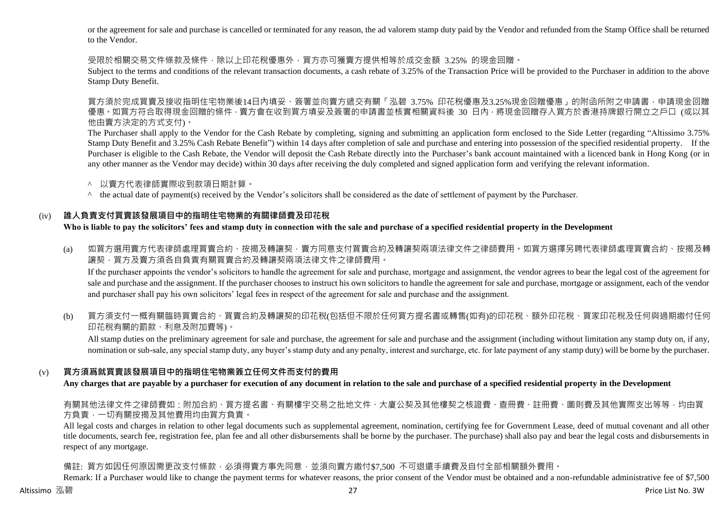or the agreement for sale and purchase is cancelled or terminated for any reason, the ad valorem stamp duty paid by the Vendor and refunded from the Stamp Office shall be returned to the Vendor.

受限於相關交易文件條款及條件,除以上印花稅優惠外,買方亦可獲賣方提供相等於成交金額 3.25% 的現金回贈。

Subject to the terms and conditions of the relevant transaction documents, a cash rebate of 3.25% of the Transaction Price will be provided to the Purchaser in addition to the above Stamp Duty Benefit.

買方須於完成買賣及接收指明住宅物業後14日內填妥、簽署並向賣方遞交有關「泓碧 3.75% 印花稅優惠及3.25%現金回贈優惠」的附函所附之申請書,申請現金回贈 優惠 。如買方符合取得現金回贈的條件 · 賣方會在收到買方填妥及簽署的申請書並核實相關資料後 30 日內 · 將現金回贈存入買方於香港持牌銀行開立之戶口 (或以其 他由賣方決定的方式支付)。

The Purchaser shall apply to the Vendor for the Cash Rebate by completing, signing and submitting an application form enclosed to the Side Letter (regarding "Altissimo 3.75% Stamp Duty Benefit and 3.25% Cash Rebate Benefit") within 14 days after completion of sale and purchase and entering into possession of the specified residential property. If the Purchaser is eligible to the Cash Rebate, the Vendor will deposit the Cash Rebate directly into the Purchaser's bank account maintained with a licenced bank in Hong Kong (or in any other manner as the Vendor may decide) within 30 days after receiving the duly completed and signed application form and verifying the relevant information.

- ^ 以賣方代表律師實際收到款項日期計算。
- ^ the actual date of payment(s) received by the Vendor's solicitors shall be considered as the date of settlement of payment by the Purchaser.

# (iv) **誰人負責支付買賣該發展項目中的指明住宅物業的有關律師費及印花稅**

**Who is liable to pay the solicitors' fees and stamp duty in connection with the sale and purchase of a specified residential property in the Development**

(a) 如買方選用賣方代表律師處理買賣合約、按揭及轉讓契,賣方同意支付買賣合約及轉讓契兩項法律文件之律師費用。如買方選擇另聘代表律師處理買賣合約、按揭及轉 讓契,買方及賣方須各自負責有關買賣合約及轉讓契兩項法律文件之律師費用。

If the purchaser appoints the vendor's solicitors to handle the agreement for sale and purchase, mortgage and assignment, the vendor agrees to bear the legal cost of the agreement for sale and purchase and the assignment. If the purchaser chooses to instruct his own solicitors to handle the agreement for sale and purchase, mortgage or assignment, each of the vendor and purchaser shall pay his own solicitors' legal fees in respect of the agreement for sale and purchase and the assignment.

(b) 買方須支付一概有關臨時買賣合約、買賣合約及轉讓契的印花稅(包括但不限於任何買方提名書或轉售(如有)的印花稅、額外印花稅、買家印花稅及任何與過期繳付任何 印花稅有關的罰款、利息及附加費等)。

All stamp duties on the preliminary agreement for sale and purchase, the agreement for sale and purchase and the assignment (including without limitation any stamp duty on, if any, nomination or sub-sale, any special stamp duty, any buyer's stamp duty and any penalty, interest and surcharge, etc. for late payment of any stamp duty) will be borne by the purchaser.

# (v) **買方須爲就買賣該發展項目中的指明住宅物業簽立任何文件而支付的費用**

**Any charges that are payable by a purchaser for execution of any document in relation to the sale and purchase of a specified residential property in the Development**

有關其他法律文件之律師費如:附加合約、買方提名書、有關樓宇交易之批地文件、大廈公契及其他樓契之核證費、查冊費、註冊費、圖則費及其他實際支出等等,均由買 方負責,一切有關按揭及其他費用均由買方負責。

All legal costs and charges in relation to other legal documents such as supplemental agreement, nomination, certifying fee for Government Lease, deed of mutual covenant and all other title documents, search fee, registration fee, plan fee and all other disbursements shall be borne by the purchaser. The purchase) shall also pay and bear the legal costs and disbursements in respect of any mortgage.

備註: 買方如因任何原因需更改支付條款,必須得賣方事先同意,並須向賣方繳付\$7,500 不可退還手續費及自付全部相關額外費用。

Remark: If a Purchaser would like to change the payment terms for whatever reasons, the prior consent of the Vendor must be obtained and a non-refundable administrative fee of \$7,500